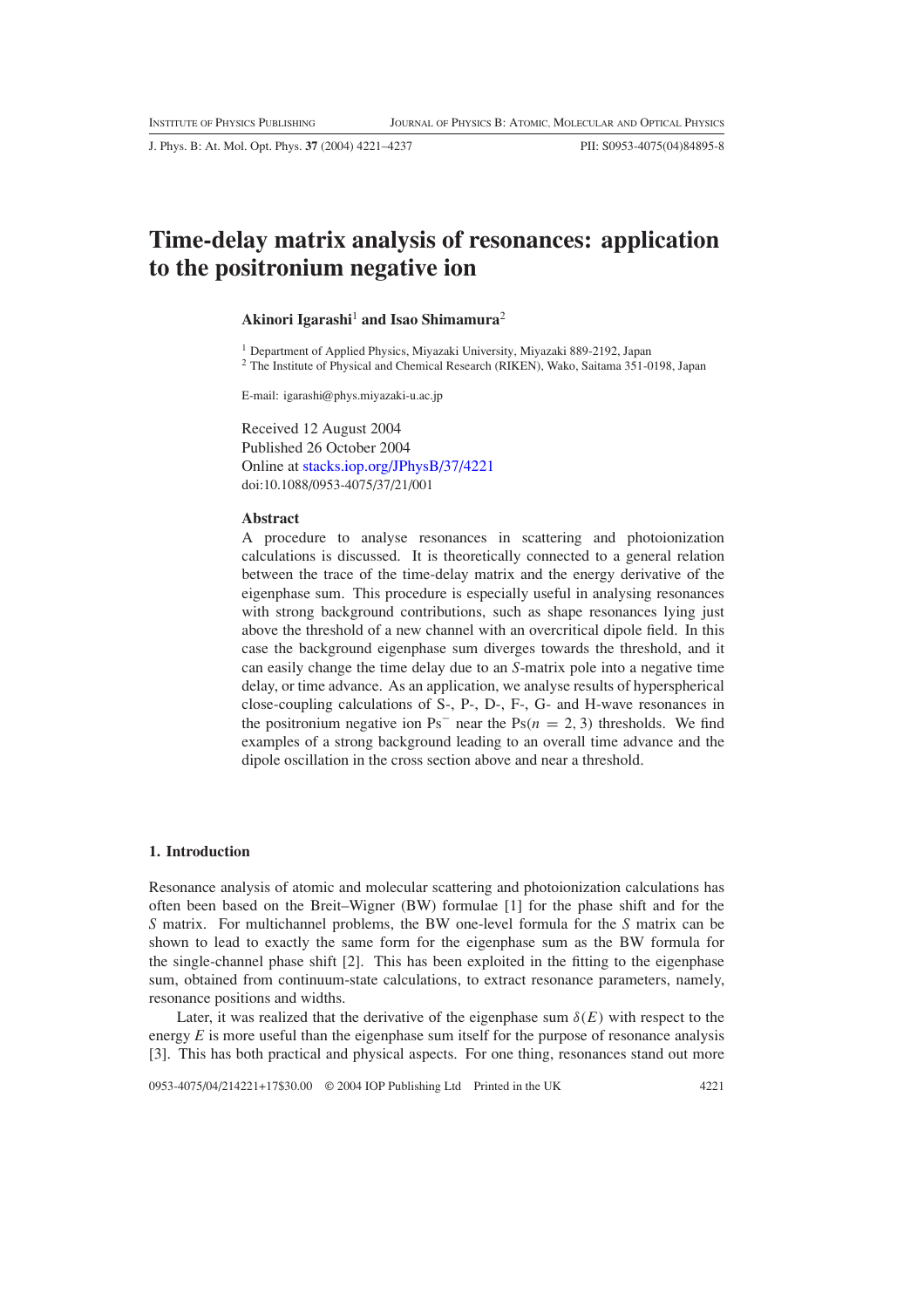J. Phys. B: At. Mol. Opt. Phys. **37** (2004) 4221–4237 PII: S0953-4075(04)84895-8

# **Time-delay matrix analysis of resonances: application to the positronium negative ion**

## **Akinori Igarashi**<sup>1</sup> **and Isao Shimamura**<sup>2</sup>

<sup>1</sup> Department of Applied Physics, Miyazaki University, Miyazaki 889-2192, Japan

<sup>2</sup> The Institute of Physical and Chemical Research (RIKEN), Wako, Saitama 351-0198, Japan

E-mail: igarashi@phys.miyazaki-u.ac.jp

Received 12 August 2004 Published 26 October 2004 Online at [stacks.iop.org/JPhysB/37/4221](http://stacks.iop.org/jb/37/4221) doi:10.1088/0953-4075/37/21/001

## **Abstract**

A procedure to analyse resonances in scattering and photoionization calculations is discussed. It is theoretically connected to a general relation between the trace of the time-delay matrix and the energy derivative of the eigenphase sum. This procedure is especially useful in analysing resonances with strong background contributions, such as shape resonances lying just above the threshold of a new channel with an overcritical dipole field. In this case the background eigenphase sum diverges towards the threshold, and it can easily change the time delay due to an *S*-matrix pole into a negative time delay, or time advance. As an application, we analyse results of hyperspherical close-coupling calculations of S-, P-, D-, F-, G- and H-wave resonances in the positronium negative ion Ps<sup>-</sup> near the Ps $(n = 2, 3)$  thresholds. We find examples of a strong background leading to an overall time advance and the dipole oscillation in the cross section above and near a threshold.

#### **1. Introduction**

Resonance analysis of atomic and molecular scattering and photoionization calculations has often been based on the Breit–Wigner (BW) formulae [1] for the phase shift and for the *S* matrix. For multichannel problems, the BW one-level formula for the *S* matrix can be shown to lead to exactly the same form for the eigenphase sum as the BW formula for the single-channel phase shift [2]. This has been exploited in the fitting to the eigenphase sum, obtained from continuum-state calculations, to extract resonance parameters, namely, resonance positions and widths.

Later, it was realized that the derivative of the eigenphase sum  $\delta(E)$  with respect to the energy *E* is more useful than the eigenphase sum itself for the purpose of resonance analysis [3]. This has both practical and physical aspects. For one thing, resonances stand out more

0953-4075/04/214221+17\$30.00 © 2004 IOP Publishing Ltd Printed in the UK 4221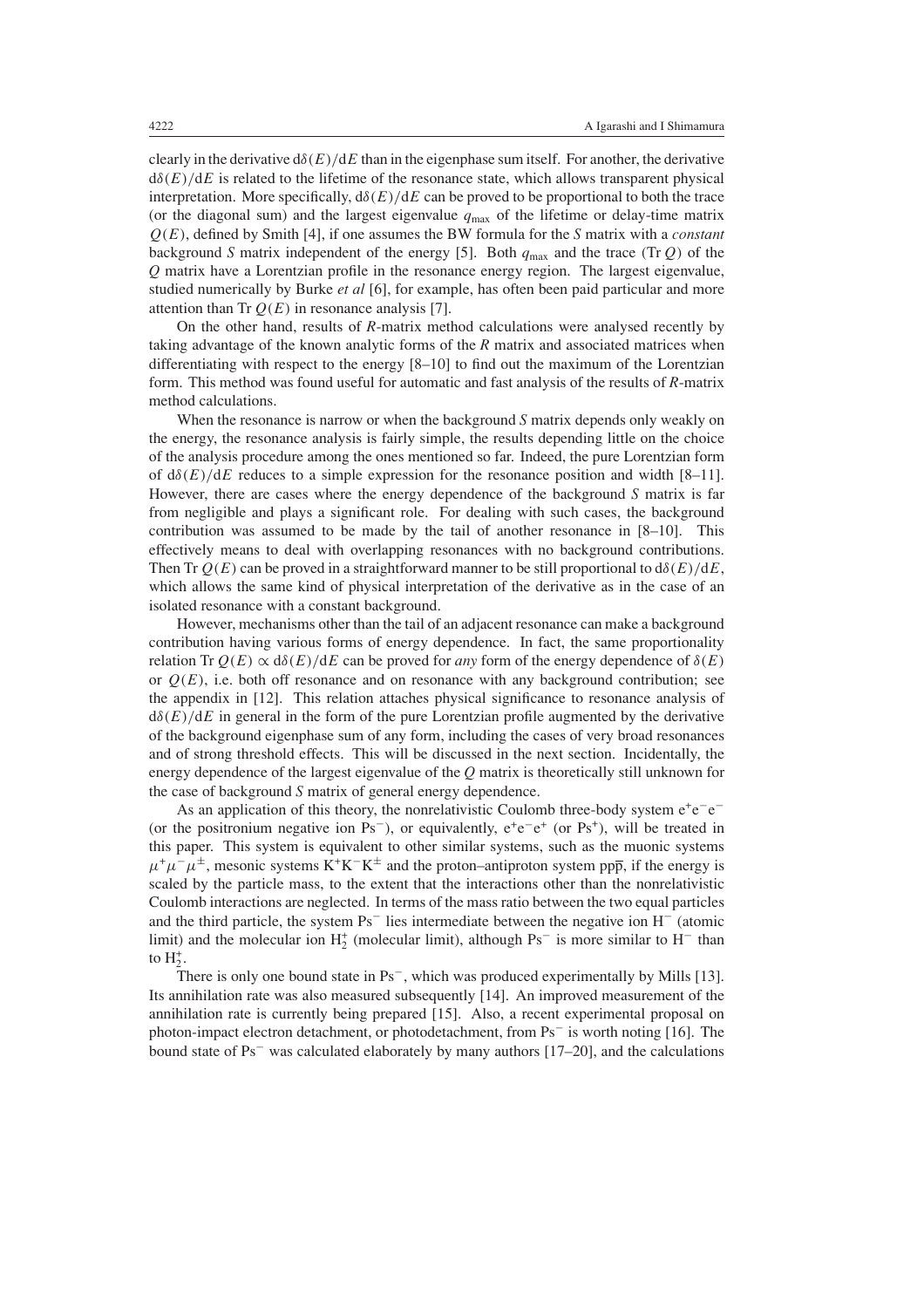clearly in the derivative  $d\delta(E)/dE$  than in the eigenphase sum itself. For another, the derivative  $d\delta(E)/dE$  is related to the lifetime of the resonance state, which allows transparent physical interpretation. More specifically,  $d\delta(E)/dE$  can be proved to be proportional to both the trace (or the diagonal sum) and the largest eigenvalue  $q_{\text{max}}$  of the lifetime or delay-time matrix *Q(E)*, defined by Smith [4], if one assumes the BW formula for the *S* matrix with a *constant* background *S* matrix independent of the energy [5]. Both  $q_{\text{max}}$  and the trace *(Tr Q)* of the *Q* matrix have a Lorentzian profile in the resonance energy region. The largest eigenvalue, studied numerically by Burke *et al* [6], for example, has often been paid particular and more attention than Tr  $Q(E)$  in resonance analysis [7].

On the other hand, results of *R*-matrix method calculations were analysed recently by taking advantage of the known analytic forms of the *R* matrix and associated matrices when differentiating with respect to the energy [8–10] to find out the maximum of the Lorentzian form. This method was found useful for automatic and fast analysis of the results of *R*-matrix method calculations.

When the resonance is narrow or when the background *S* matrix depends only weakly on the energy, the resonance analysis is fairly simple, the results depending little on the choice of the analysis procedure among the ones mentioned so far. Indeed, the pure Lorentzian form of  $d\delta(E)/dE$  reduces to a simple expression for the resonance position and width [8–11]. However, there are cases where the energy dependence of the background *S* matrix is far from negligible and plays a significant role. For dealing with such cases, the background contribution was assumed to be made by the tail of another resonance in [8–10]. This effectively means to deal with overlapping resonances with no background contributions. Then Tr  $Q(E)$  can be proved in a straightforward manner to be still proportional to  $d\delta(E)/dE$ , which allows the same kind of physical interpretation of the derivative as in the case of an isolated resonance with a constant background.

However, mechanisms other than the tail of an adjacent resonance can make a background contribution having various forms of energy dependence. In fact, the same proportionality relation Tr  $Q(E) \propto d\delta(E)/dE$  can be proved for *any* form of the energy dependence of  $\delta(E)$ or  $O(E)$ , i.e. both off resonance and on resonance with any background contribution; see the appendix in [12]. This relation attaches physical significance to resonance analysis of d*δ(E)/*d*E* in general in the form of the pure Lorentzian profile augmented by the derivative of the background eigenphase sum of any form, including the cases of very broad resonances and of strong threshold effects. This will be discussed in the next section. Incidentally, the energy dependence of the largest eigenvalue of the *Q* matrix is theoretically still unknown for the case of background *S* matrix of general energy dependence.

As an application of this theory, the nonrelativistic Coulomb three-body system  $e^+e^-e^-$ (or the positronium negative ion Ps<sup>-</sup>), or equivalently,  $e^+e^-e^+$  (or Ps<sup>+</sup>), will be treated in this paper. This system is equivalent to other similar systems, such as the muonic systems  $\mu^+\mu^-\mu^{\pm}$ , mesonic systems K<sup>+</sup>K<sup>-</sup>K<sup>±</sup> and the proton–antiproton system pp<sub>p</sub>, if the energy is scaled by the particle mass, to the extent that the interactions other than the nonrelativistic Coulomb interactions are neglected. In terms of the mass ratio between the two equal particles and the third particle, the system Ps<sup>−</sup> lies intermediate between the negative ion H<sup>−</sup> (atomic limit) and the molecular ion  $H_2^+$  (molecular limit), although Ps<sup>-</sup> is more similar to H<sup>-</sup> than to  $H_2^+$ .

There is only one bound state in Ps<sup>−</sup>, which was produced experimentally by Mills [13]. Its annihilation rate was also measured subsequently [14]. An improved measurement of the annihilation rate is currently being prepared [15]. Also, a recent experimental proposal on photon-impact electron detachment, or photodetachment, from Ps<sup>−</sup> is worth noting [16]. The bound state of Ps<sup>−</sup> was calculated elaborately by many authors [17–20], and the calculations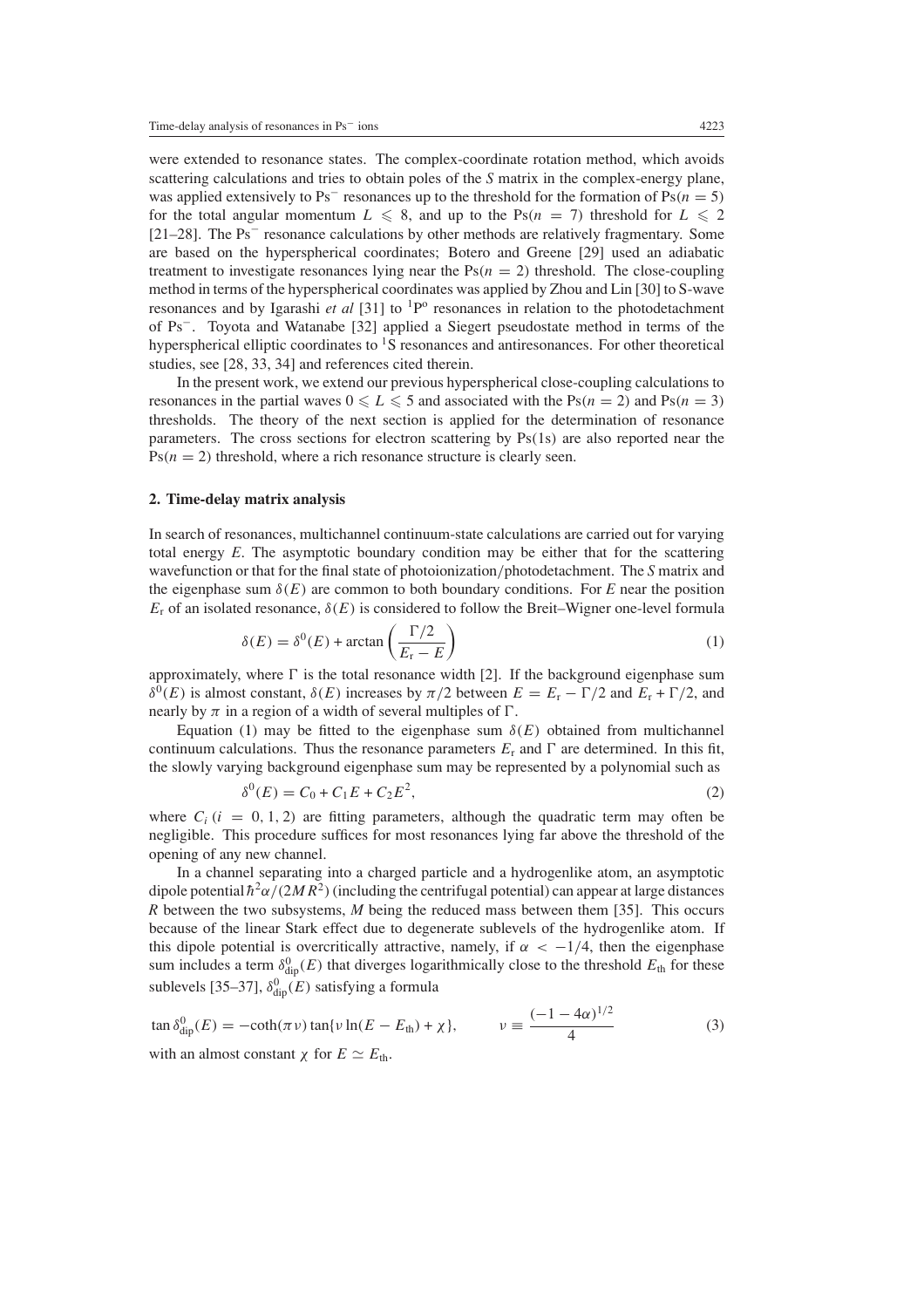were extended to resonance states. The complex-coordinate rotation method, which avoids scattering calculations and tries to obtain poles of the *S* matrix in the complex-energy plane, was applied extensively to Ps<sup>−</sup> resonances up to the threshold for the formation of Ps*(n* = 5*)* for the total angular momentum  $L \le 8$ , and up to the Ps( $n = 7$ ) threshold for  $L \le 2$ [21–28]. The Ps<sup>−</sup> resonance calculations by other methods are relatively fragmentary. Some are based on the hyperspherical coordinates; Botero and Greene [29] used an adiabatic treatment to investigate resonances lying near the  $Ps(n = 2)$  threshold. The close-coupling method in terms of the hyperspherical coordinates was applied by Zhou and Lin [30] to S-wave resonances and by Igarashi *et al* [31] to <sup>1</sup>P<sup>o</sup> resonances in relation to the photodetachment of Ps<sup>−</sup>. Toyota and Watanabe [32] applied a Siegert pseudostate method in terms of the hyperspherical elliptic coordinates to  ${}^{1}S$  resonances and antiresonances. For other theoretical studies, see [28, 33, 34] and references cited therein.

In the present work, we extend our previous hyperspherical close-coupling calculations to resonances in the partial waves  $0 \le L \le 5$  and associated with the Ps $(n = 2)$  and Ps $(n = 3)$ thresholds. The theory of the next section is applied for the determination of resonance parameters. The cross sections for electron scattering by Ps*(*1s*)* are also reported near the  $Ps(n = 2)$  threshold, where a rich resonance structure is clearly seen.

## **2. Time-delay matrix analysis**

In search of resonances, multichannel continuum-state calculations are carried out for varying total energy *E*. The asymptotic boundary condition may be either that for the scattering wavefunction or that for the final state of photoionization*/*photodetachment. The *S* matrix and the eigenphase sum  $\delta(E)$  are common to both boundary conditions. For *E* near the position  $E_r$  of an isolated resonance,  $\delta(E)$  is considered to follow the Breit–Wigner one-level formula

$$
\delta(E) = \delta^0(E) + \arctan\left(\frac{\Gamma/2}{E_r - E}\right)
$$
\n(1)

<span id="page-2-0"></span>approximately, where  $\Gamma$  is the total resonance width [2]. If the background eigenphase sum *δ*<sup>0</sup>(*E*) is almost constant, *δ*(*E*) increases by  $π/2$  between  $E = E_r - Γ/2$  and  $E_r + Γ/2$ , and nearly by  $\pi$  in a region of a width of several multiples of  $\Gamma$ .

<span id="page-2-2"></span>Equation [\(1\)](#page-2-0) may be fitted to the eigenphase sum  $\delta(E)$  obtained from multichannel continuum calculations. Thus the resonance parameters  $E_r$  and  $\Gamma$  are determined. In this fit, the slowly varying background eigenphase sum may be represented by a polynomial such as

$$
\delta^{0}(E) = C_0 + C_1 E + C_2 E^2,
$$
\n(2)

where  $C_i$  ( $i = 0, 1, 2$ ) are fitting parameters, although the quadratic term may often be negligible. This procedure suffices for most resonances lying far above the threshold of the opening of any new channel.

In a channel separating into a charged particle and a hydrogenlike atom, an asymptotic dipole potential  $\hbar^2 \alpha/(2MR^2)$  (including the centrifugal potential) can appear at large distances *R* between the two subsystems, *M* being the reduced mass between them [35]. This occurs because of the linear Stark effect due to degenerate sublevels of the hydrogenlike atom. If this dipole potential is overcritically attractive, namely, if  $\alpha < -1/4$ , then the eigenphase sum includes a term  $\delta^0_{\text{dip}}(E)$  that diverges logarithmically close to the threshold  $E_{\text{th}}$  for these sublevels [35–37],  $\delta^0_{\text{dip}}(E)$  satisfying a formula

<span id="page-2-1"></span>
$$
\tan \delta_{\text{dip}}^0(E) = -\coth(\pi \nu) \tan\{\nu \ln(E - E_{\text{th}}) + \chi\}, \qquad \nu \equiv \frac{(-1 - 4\alpha)^{1/2}}{4}
$$
\nwith an almost constant  $\chi$  for  $E \simeq E_{\text{th}}$ .

\n(3)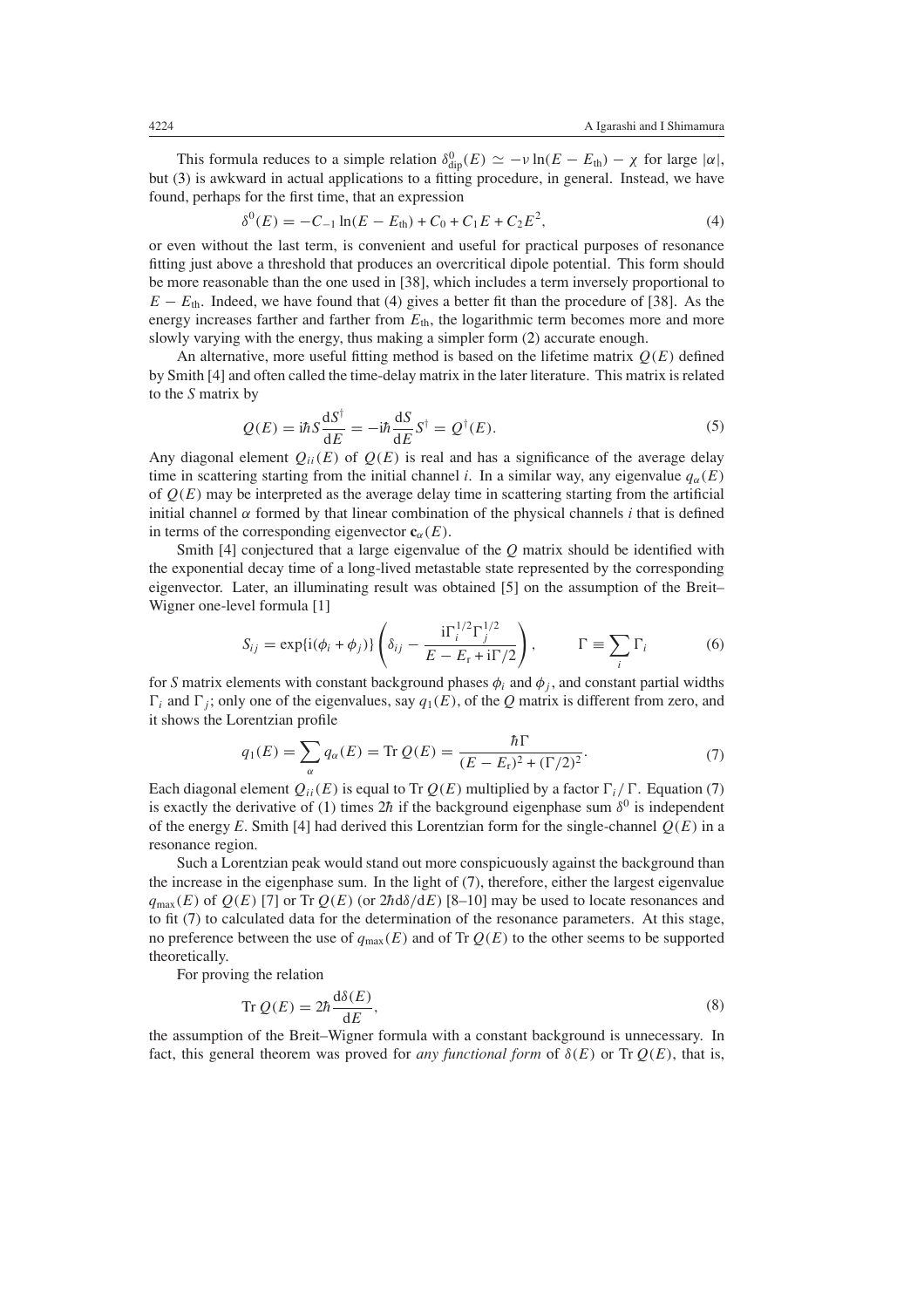<span id="page-3-0"></span>This formula reduces to a simple relation  $\delta_{\text{dip}}^0(E) \simeq -\nu \ln(E - E_{\text{th}}) - \chi$  for large  $|\alpha|$ , but [\(3\)](#page-2-1) is awkward in actual applications to a fitting procedure, in general. Instead, we have found, perhaps for the first time, that an expression

$$
C^{0}(E) = -C_{-1}\ln(E - E_{\text{th}}) + C_{0} + C_{1}E + C_{2}E^{2},
$$
\n(4)

or even without the last term, is convenient and useful for practical purposes of resonance fitting just above a threshold that produces an overcritical dipole potential. This form should be more reasonable than the one used in [38], which includes a term inversely proportional to  $E - E_{th}$ . Indeed, we have found that [\(4\)](#page-3-0) gives a better fit than the procedure of [38]. As the energy increases farther and farther from  $E_{th}$ , the logarithmic term becomes more and more slowly varying with the energy, thus making a simpler form [\(2\)](#page-2-2) accurate enough.

<span id="page-3-2"></span>An alternative, more useful fitting method is based on the lifetime matrix *Q(E)* defined by Smith [4] and often called the time-delay matrix in the later literature. This matrix is related to the *S* matrix by

$$
Q(E) = i\hbar S \frac{\mathrm{d}S^{\dagger}}{\mathrm{d}E} = -i\hbar \frac{\mathrm{d}S}{\mathrm{d}E} S^{\dagger} = Q^{\dagger}(E). \tag{5}
$$

Any diagonal element  $Q_{ii}(E)$  of  $Q(E)$  is real and has a significance of the average delay time in scattering starting from the initial channel *i*. In a similar way, any eigenvalue  $q_\alpha(E)$ of  $Q(E)$  may be interpreted as the average delay time in scattering starting from the artificial initial channel  $\alpha$  formed by that linear combination of the physical channels *i* that is defined in terms of the corresponding eigenvector  $\mathbf{c}_{\alpha}(E)$ .

Smith [4] conjectured that a large eigenvalue of the *Q* matrix should be identified with the exponential decay time of a long-lived metastable state represented by the corresponding eigenvector. Later, an illuminating result was obtained [5] on the assumption of the Breit– Wigner one-level formula [1]

$$
S_{ij} = \exp\{i(\phi_i + \phi_j)\} \left( \delta_{ij} - \frac{i\Gamma_i^{1/2} \Gamma_j^{1/2}}{E - E_r + i\Gamma/2} \right), \qquad \Gamma \equiv \sum_i \Gamma_i \tag{6}
$$

<span id="page-3-1"></span>for *S* matrix elements with constant background phases  $\phi_i$  and  $\phi_j$ , and constant partial widths  $\Gamma_i$  and  $\Gamma_j$ ; only one of the eigenvalues, say  $q_1(E)$ , of the *Q* matrix is different from zero, and it shows the Lorentzian profile

$$
q_1(E) = \sum_{\alpha} q_{\alpha}(E) = \text{Tr } Q(E) = \frac{\hbar \Gamma}{(E - E_r)^2 + (\Gamma/2)^2}.
$$
 (7)

on and

Each diagonal element  $Q_{ii}(E)$  is equal to Tr  $Q(E)$  multiplied by a factor  $\Gamma_i/\Gamma$ . Equation [\(7\)](#page-3-1) is exactly the derivative of [\(1\)](#page-2-0) times  $2\hbar$  if the background eigenphase sum  $\delta^0$  is independent of the energy  $E$ . Smith [4] had derived this Lorentzian form for the single-channel  $Q(E)$  in a resonance region.

Such a Lorentzian peak would stand out more conspicuously against the background than the increase in the eigenphase sum. In the light of [\(7\)](#page-3-1), therefore, either the largest eigenvalue  $q_{\text{max}}(E)$  of  $Q(E)$  [7] or Tr  $Q(E)$  (or  $2hd\delta/dE$ ) [8–10] may be used to locate resonances and to fit [\(7\)](#page-3-1) to calculated data for the determination of the resonance parameters. At this stage, no preference between the use of  $q_{\text{max}}(E)$  and of Tr  $Q(E)$  to the other seems to be supported theoretically.

<span id="page-3-3"></span>For proving the relation

$$
\operatorname{Tr} Q(E) = 2\hbar \frac{\mathrm{d}\delta(E)}{\mathrm{d}E},\tag{8}
$$

the assumption of the Breit–Wigner formula with a constant background is unnecessary. In fact, this general theorem was proved for *any functional form* of  $\delta(E)$  or Tr  $Q(E)$ , that is,

*δ*0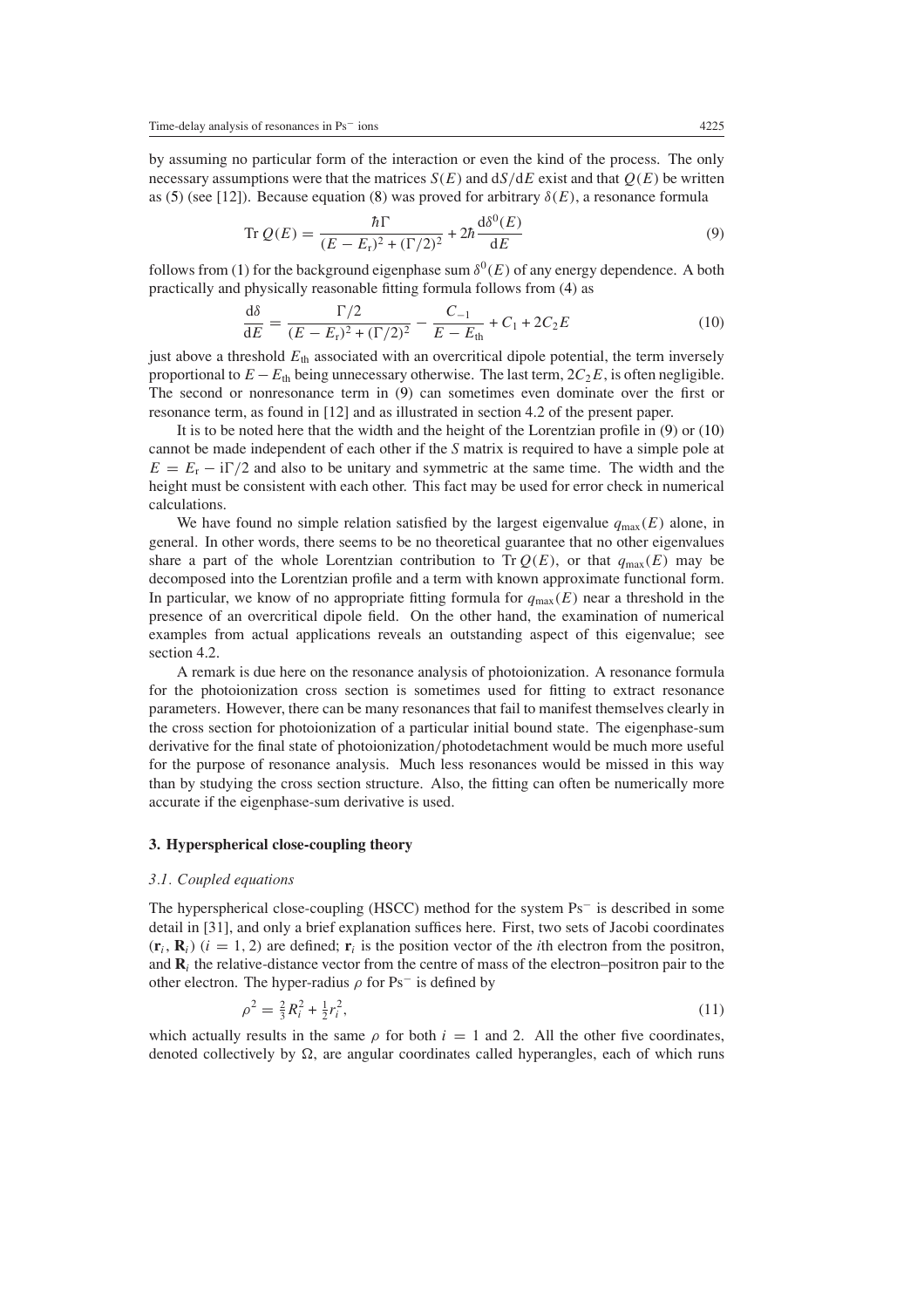<span id="page-4-0"></span>by assuming no particular form of the interaction or even the kind of the process. The only necessary assumptions were that the matrices  $S(E)$  and  $dS/dE$  exist and that  $Q(E)$  be written as [\(5\)](#page-3-2) (see [12]). Because equation [\(8\)](#page-3-3) was proved for arbitrary *δ(E)*, a resonance formula

$$
\operatorname{Tr} Q(E) = \frac{\hbar \Gamma}{(E - E_r)^2 + (\Gamma/2)^2} + 2\hbar \frac{\mathrm{d}\delta^0(E)}{\mathrm{d}E} \tag{9}
$$

<span id="page-4-1"></span>follows from [\(1\)](#page-2-0) for the background eigenphase sum  $\delta^{0}(E)$  of any energy dependence. A both practically and physically reasonable fitting formula follows from [\(4\)](#page-3-0) as

$$
\frac{d\delta}{dE} = \frac{\Gamma/2}{(E - E_r)^2 + (\Gamma/2)^2} - \frac{C_{-1}}{E - E_{th}} + C_1 + 2C_2E
$$
(10)

just above a threshold  $E_{th}$  associated with an overcritical dipole potential, the term inversely proportional to  $E - E$ <sub>th</sub> being unnecessary otherwise. The last term,  $2C_2E$ , is often negligible. The second or nonresonance term in [\(9\)](#page-4-0) can sometimes even dominate over the first or resonance term, as found in [12] and as illustrated in section 4.2 of the present paper.

It is to be noted here that the width and the height of the Lorentzian profile in [\(9\)](#page-4-0) or [\(10\)](#page-4-1) cannot be made independent of each other if the *S* matrix is required to have a simple pole at  $E = E_r - i\Gamma/2$  and also to be unitary and symmetric at the same time. The width and the height must be consistent with each other. This fact may be used for error check in numerical calculations.

We have found no simple relation satisfied by the largest eigenvalue  $q_{\text{max}}(E)$  alone, in general. In other words, there seems to be no theoretical guarantee that no other eigenvalues share a part of the whole Lorentzian contribution to Tr  $Q(E)$ , or that  $q_{\text{max}}(E)$  may be decomposed into the Lorentzian profile and a term with known approximate functional form. In particular, we know of no appropriate fitting formula for  $q_{\text{max}}(E)$  near a threshold in the presence of an overcritical dipole field. On the other hand, the examination of numerical examples from actual applications reveals an outstanding aspect of this eigenvalue; see section 4.2.

A remark is due here on the resonance analysis of photoionization. A resonance formula for the photoionization cross section is sometimes used for fitting to extract resonance parameters. However, there can be many resonances that fail to manifest themselves clearly in the cross section for photoionization of a particular initial bound state. The eigenphase-sum derivative for the final state of photoionization*/*photodetachment would be much more useful for the purpose of resonance analysis. Much less resonances would be missed in this way than by studying the cross section structure. Also, the fitting can often be numerically more accurate if the eigenphase-sum derivative is used.

## **3. Hyperspherical close-coupling theory**

#### *3.1. Coupled equations*

The hyperspherical close-coupling (HSCC) method for the system Ps<sup>−</sup> is described in some detail in [31], and only a brief explanation suffices here. First, two sets of Jacobi coordinates  $(\mathbf{r}_i, \mathbf{R}_i)$   $(i = 1, 2)$  are defined;  $\mathbf{r}_i$  is the position vector of the *i*th electron from the positron, and  $\bf{R}_i$  the relative-distance vector from the centre of mass of the electron–positron pair to the other electron. The hyper-radius  $\rho$  for Ps<sup>-</sup> is defined by

$$
\rho^2 = \frac{2}{3}R_i^2 + \frac{1}{2}r_i^2,\tag{11}
$$

which actually results in the same  $\rho$  for both  $i = 1$  and 2. All the other five coordinates, denoted collectively by  $\Omega$ , are angular coordinates called hyperangles, each of which runs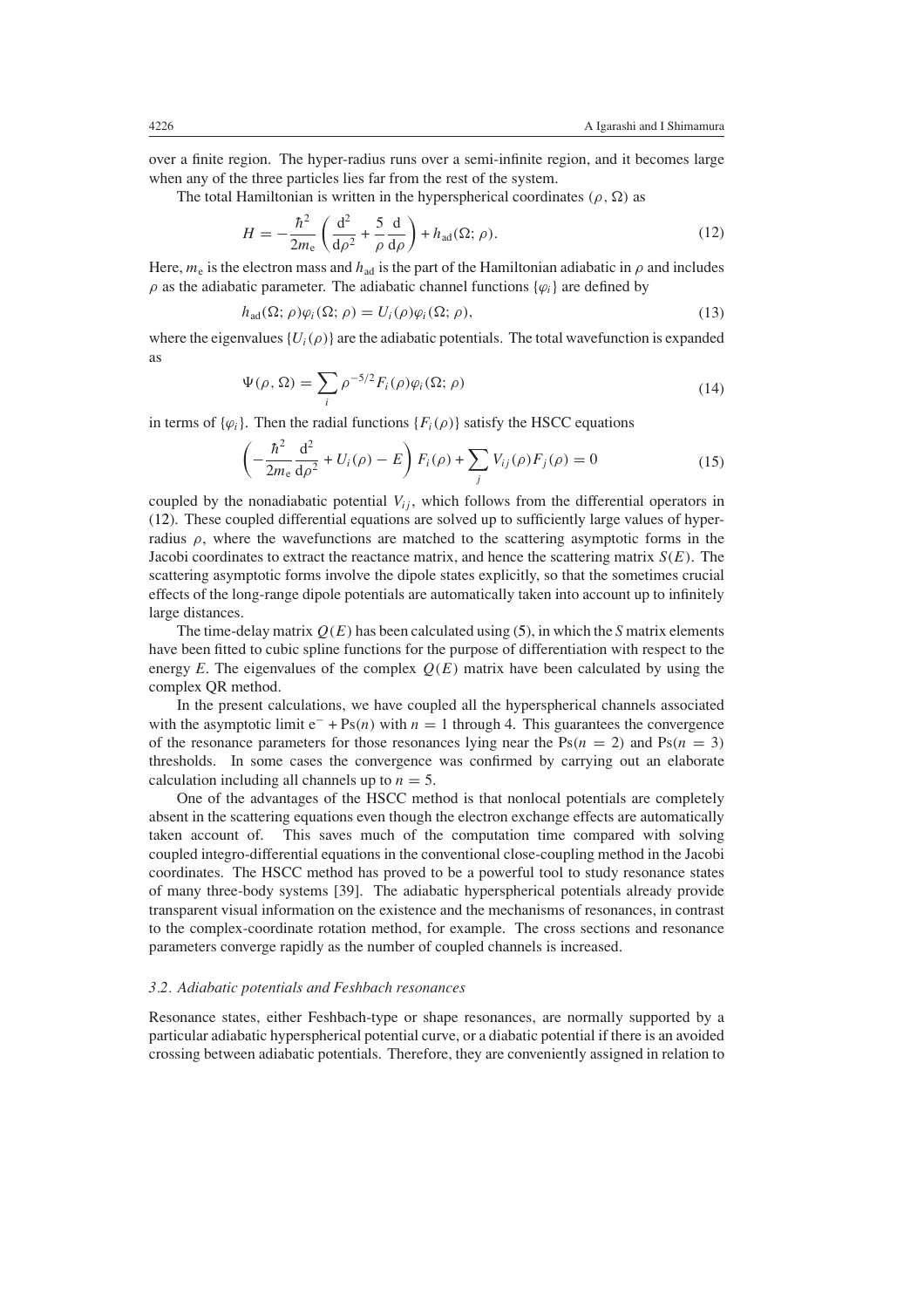over a finite region. The hyper-radius runs over a semi-infinite region, and it becomes large when any of the three particles lies far from the rest of the system.

<span id="page-5-0"></span>The total Hamiltonian is written in the hyperspherical coordinates  $(\rho, \Omega)$  as

$$
H = -\frac{\hbar^2}{2m_e} \left( \frac{\mathrm{d}^2}{\mathrm{d}\rho^2} + \frac{5}{\rho} \frac{\mathrm{d}}{\mathrm{d}\rho} \right) + h_{\text{ad}}(\Omega; \rho).
$$
 (12)

Here,  $m_e$  is the electron mass and  $h_{ad}$  is the part of the Hamiltonian adiabatic in  $\rho$  and includes  $\rho$  as the adiabatic parameter. The adiabatic channel functions  $\{\varphi_i\}$  are defined by

$$
h_{\text{ad}}(\Omega; \rho)\varphi_i(\Omega; \rho) = U_i(\rho)\varphi_i(\Omega; \rho), \qquad (13)
$$

where the eigenvalues  ${U_i(\rho)}$  are the adiabatic potentials. The total wavefunction is expanded as

$$
\Psi(\rho,\Omega) = \sum_{i} \rho^{-5/2} F_i(\rho) \varphi_i(\Omega;\rho)
$$
\n(14)

in terms of  $\{\varphi_i\}$ . Then the radial functions  $\{F_i(\rho)\}$  satisfy the HSCC equations

$$
\left(-\frac{\hbar^2}{2m_e}\frac{\mathrm{d}^2}{\mathrm{d}\rho^2} + U_i(\rho) - E\right)F_i(\rho) + \sum_j V_{ij}(\rho)F_j(\rho) = 0\tag{15}
$$

coupled by the nonadiabatic potential  $V_{ij}$ , which follows from the differential operators in [\(12\)](#page-5-0). These coupled differential equations are solved up to sufficiently large values of hyperradius  $\rho$ , where the wavefunctions are matched to the scattering asymptotic forms in the Jacobi coordinates to extract the reactance matrix, and hence the scattering matrix *S(E)*. The scattering asymptotic forms involve the dipole states explicitly, so that the sometimes crucial effects of the long-range dipole potentials are automatically taken into account up to infinitely large distances.

The time-delay matrix  $Q(E)$  has been calculated using [\(5\)](#page-3-2), in which the *S* matrix elements have been fitted to cubic spline functions for the purpose of differentiation with respect to the energy  $E$ . The eigenvalues of the complex  $Q(E)$  matrix have been calculated by using the complex QR method.

In the present calculations, we have coupled all the hyperspherical channels associated with the asymptotic limit  $e^-$  + Ps(*n*) with  $n = 1$  through 4. This guarantees the convergence of the resonance parameters for those resonances lying near the  $Ps(n = 2)$  and  $Ps(n = 3)$ thresholds. In some cases the convergence was confirmed by carrying out an elaborate calculation including all channels up to  $n = 5$ .

One of the advantages of the HSCC method is that nonlocal potentials are completely absent in the scattering equations even though the electron exchange effects are automatically taken account of. This saves much of the computation time compared with solving coupled integro-differential equations in the conventional close-coupling method in the Jacobi coordinates. The HSCC method has proved to be a powerful tool to study resonance states of many three-body systems [39]. The adiabatic hyperspherical potentials already provide transparent visual information on the existence and the mechanisms of resonances, in contrast to the complex-coordinate rotation method, for example. The cross sections and resonance parameters converge rapidly as the number of coupled channels is increased.

#### *3.2. Adiabatic potentials and Feshbach resonances*

Resonance states, either Feshbach-type or shape resonances, are normally supported by a particular adiabatic hyperspherical potential curve, or a diabatic potential if there is an avoided crossing between adiabatic potentials. Therefore, they are conveniently assigned in relation to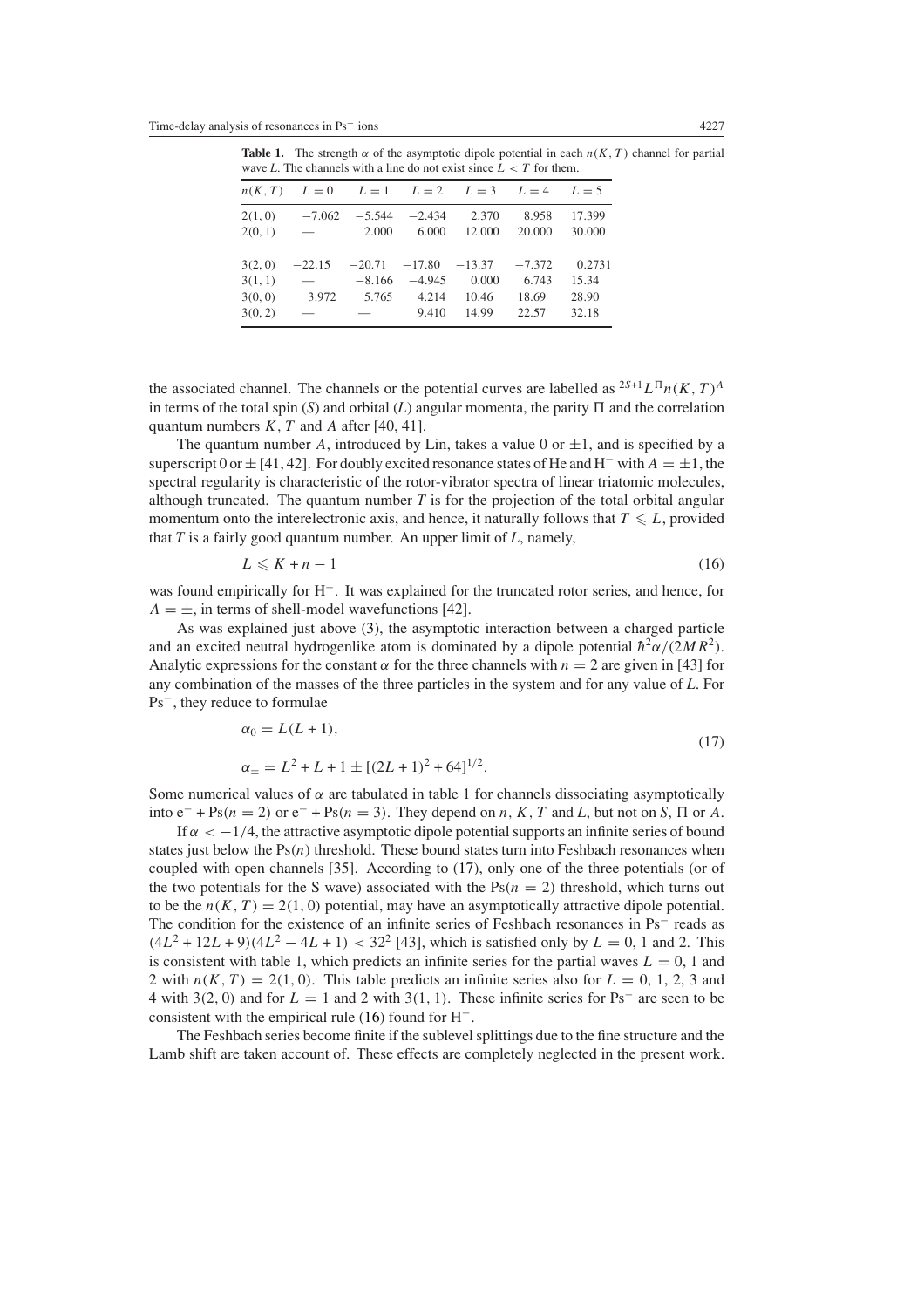| wave L. The channels with a line do not exist since $L < I$ for them. |                                         |          |                 |          |          |        |
|-----------------------------------------------------------------------|-----------------------------------------|----------|-----------------|----------|----------|--------|
| n(K, T)                                                               | $L = 0$ $L = 1$ $L = 2$ $L = 3$ $L = 4$ |          |                 |          |          | $L=5$  |
| 2(1, 0)                                                               | $-7.062$                                | $-5.544$ | $-2.434$        | 2.370    | 8.958    | 17.399 |
| 2(0, 1)                                                               | <b>Contract Contract Contract</b>       | 2.000    | 6.000           | 12.000   | 20.000   | 30.000 |
| 3(2, 0)                                                               | $-22.15$                                |          | $-20.71 -17.80$ | $-13.37$ | $-7.372$ | 0.2731 |
| 3(1, 1)                                                               | $\overline{\phantom{0}}$                | $-8.166$ | $-4.945$        | 0.000    | 6.743    | 15.34  |
| 3(0, 0)                                                               | 3.972                                   | 5.765    | 4.214           | 10.46    | 18.69    | 28.90  |
| 3(0, 2)                                                               |                                         |          | 9.410           | 14.99    | 22.57    | 32.18  |

**Table 1.** The strength  $\alpha$  of the asymptotic dipole potential in each  $n(K, T)$  channel for partial wave *L*. The channels with a line do not exist since  $L < T$  for them.

the associated channel. The channels or the potential curves are labelled as  ${}^{2S+1}L^{\Pi}n(K, T)^A$ in terms of the total spin  $(S)$  and orbital  $(L)$  angular momenta, the parity  $\Pi$  and the correlation quantum numbers *K, T* and *A* after [40, 41].

The quantum number A, introduced by Lin, takes a value 0 or  $\pm 1$ , and is specified by a superscript 0 or  $\pm$  [41, 42]. For doubly excited resonance states of He and H<sup>-</sup> with  $A = \pm 1$ , the spectral regularity is characteristic of the rotor-vibrator spectra of linear triatomic molecules, although truncated. The quantum number *T* is for the projection of the total orbital angular momentum onto the interelectronic axis, and hence, it naturally follows that  $T \leq L$ , provided that *T* is a fairly good quantum number. An upper limit of *L*, namely,

$$
L \leqslant K + n - 1 \tag{16}
$$

<span id="page-6-1"></span>was found empirically for H<sup>−</sup>. It was explained for the truncated rotor series, and hence, for  $A = \pm$ , in terms of shell-model wavefunctions [42].

As was explained just above [\(3\)](#page-2-1), the asymptotic interaction between a charged particle and an excited neutral hydrogenlike atom is dominated by a dipole potential  $\hbar^2 \alpha/(2MR^2)$ . Analytic expressions for the constant  $\alpha$  for the three channels with  $n = 2$  are given in [43] for any combination of the masses of the three particles in the system and for any value of *L*. For Ps<sup>−</sup>, they reduce to formulae

$$
\alpha_0 = L(L+1),\tag{17}
$$

$$
\alpha_{\pm} = L^2 + L + 1 \pm [(2L + 1)^2 + 64]^{1/2}.
$$

<span id="page-6-0"></span>Some numerical values of  $\alpha$  are tabulated in table 1 for channels dissociating asymptotically into  $e^-$  + Ps(*n* = 2) or  $e^-$  + Ps(*n* = 3). They depend on *n*, *K*, *T* and *L*, but not on *S*,  $\Pi$  or *A*.

If  $\alpha < -1/4$ , the attractive asymptotic dipole potential supports an infinite series of bound states just below the  $Ps(n)$  threshold. These bound states turn into Feshbach resonances when coupled with open channels [35]. According to [\(17\)](#page-6-0), only one of the three potentials (or of the two potentials for the S wave) associated with the  $Ps(n = 2)$  threshold, which turns out to be the  $n(K, T) = 2(1, 0)$  potential, may have an asymptotically attractive dipole potential. The condition for the existence of an infinite series of Feshbach resonances in Ps<sup>−</sup> reads as  $(4L^2 + 12L + 9)(4L^2 - 4L + 1) < 32^2$  [43], which is satisfied only by  $L = 0$ , 1 and 2. This is consistent with table 1, which predicts an infinite series for the partial waves  $L = 0$ , 1 and 2 with  $n(K, T) = 2(1, 0)$ . This table predicts an infinite series also for  $L = 0, 1, 2, 3$  and 4 with 3*(*2*,* 0*)* and for *L* = 1 and 2 with 3*(*1*,* 1*)*. These infinite series for Ps<sup>−</sup> are seen to be consistent with the empirical rule [\(16\)](#page-6-1) found for H<sup>−</sup>.

The Feshbach series become finite if the sublevel splittings due to the fine structure and the Lamb shift are taken account of. These effects are completely neglected in the present work.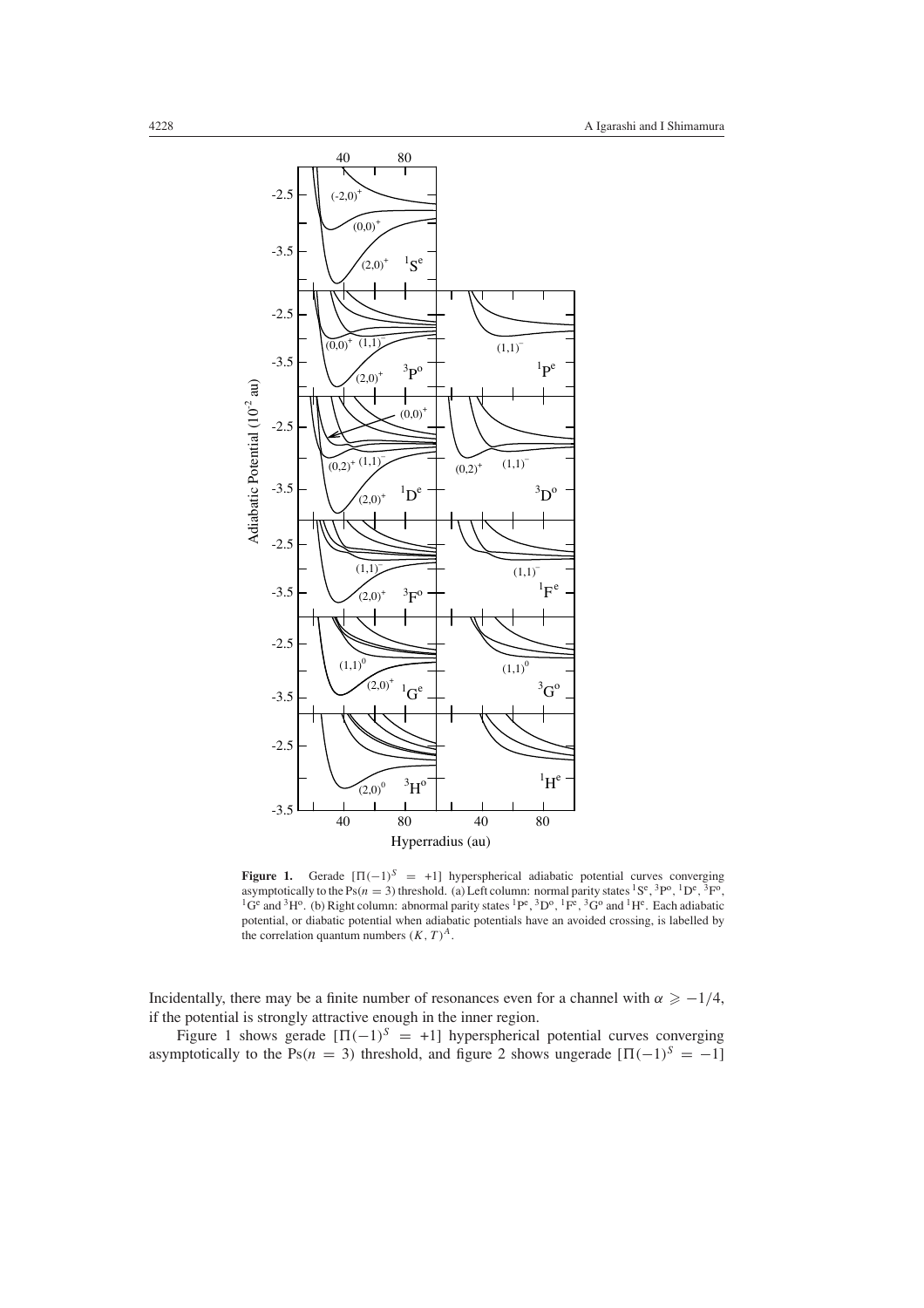

**Figure 1.** Gerade  $[\Pi(-1)^S = +1]$  hyperspherical adiabatic potential curves converging asymptotically to the Ps( $n = 3$ ) threshold. (a) Left column: normal parity states <sup>1</sup>S<sup>e</sup>, <sup>3</sup>P<sup>o</sup>, <sup>1</sup>D<sup>e</sup>, <sup>3</sup>F<sup>o</sup>, <sup>1</sup>G<sup>e</sup> and <sup>3</sup>H<sup>o</sup>. (b) Right column: abnormal parity states <sup>1</sup>P<sup>e</sup>, <sup>3</sup>D<sup>o</sup>, <sup>1</sup>F<sup>e</sup>, <sup>3</sup>G<sup>o</sup> and <sup>1</sup>H<sup>e</sup>. Each adiabatic potential, or diabatic potential when adiabatic potentials have an avoided crossing, is labelled by the correlation quantum numbers  $(K, T)^A$ .

Incidentally, there may be a finite number of resonances even for a channel with  $\alpha \geq -1/4$ , if the potential is strongly attractive enough in the inner region.

Figure 1 shows gerade  $[\Pi(-1)]^S = +1$ ] hyperspherical potential curves converging asymptotically to the Ps( $n = 3$ ) threshold, and figure 2 shows ungerade  $[\Pi(-1)^S = -1]$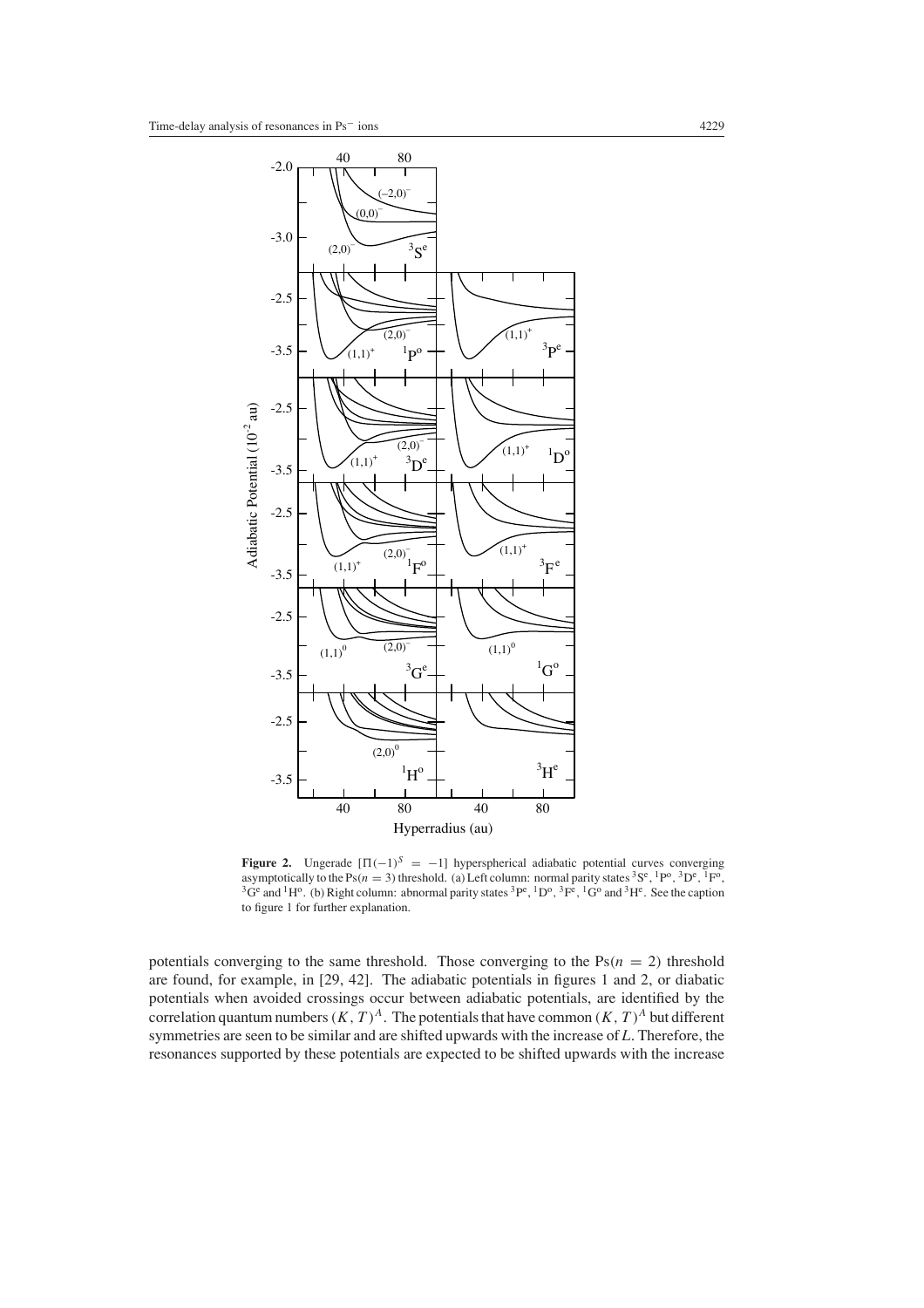

**Figure 2.** Ungerade  $[\Pi(-1)^S = -1]$  hyperspherical adiabatic potential curves converging asymptotically to the Ps $(n = 3)$  threshold. (a) Left column: normal parity states  ${}^{3}S^{e}$ ,  ${}^{1}P^{o}$ ,  ${}^{3}D^{e}$ ,  ${}^{1}F^{o}$ , <sup>3</sup>G<sup>e</sup> and <sup>1</sup>H<sup>o</sup>. (b) Right column: abnormal parity states <sup>3</sup>P<sup>e</sup>, <sup>1</sup>D<sup>o</sup>, <sup>3</sup>F<sup>e</sup>, <sup>1</sup>G<sup>o</sup> and <sup>3</sup>H<sup>e</sup>. See the caption to figure 1 for further explanation.

potentials converging to the same threshold. Those converging to the  $Ps(n = 2)$  threshold are found, for example, in [29, 42]. The adiabatic potentials in figures 1 and 2, or diabatic potentials when avoided crossings occur between adiabatic potentials, are identified by the correlation quantum numbers  $(K, T)^A$ . The potentials that have common  $(K, T)^A$  but different symmetries are seen to be similar and are shifted upwards with the increase of *L*. Therefore, the resonances supported by these potentials are expected to be shifted upwards with the increase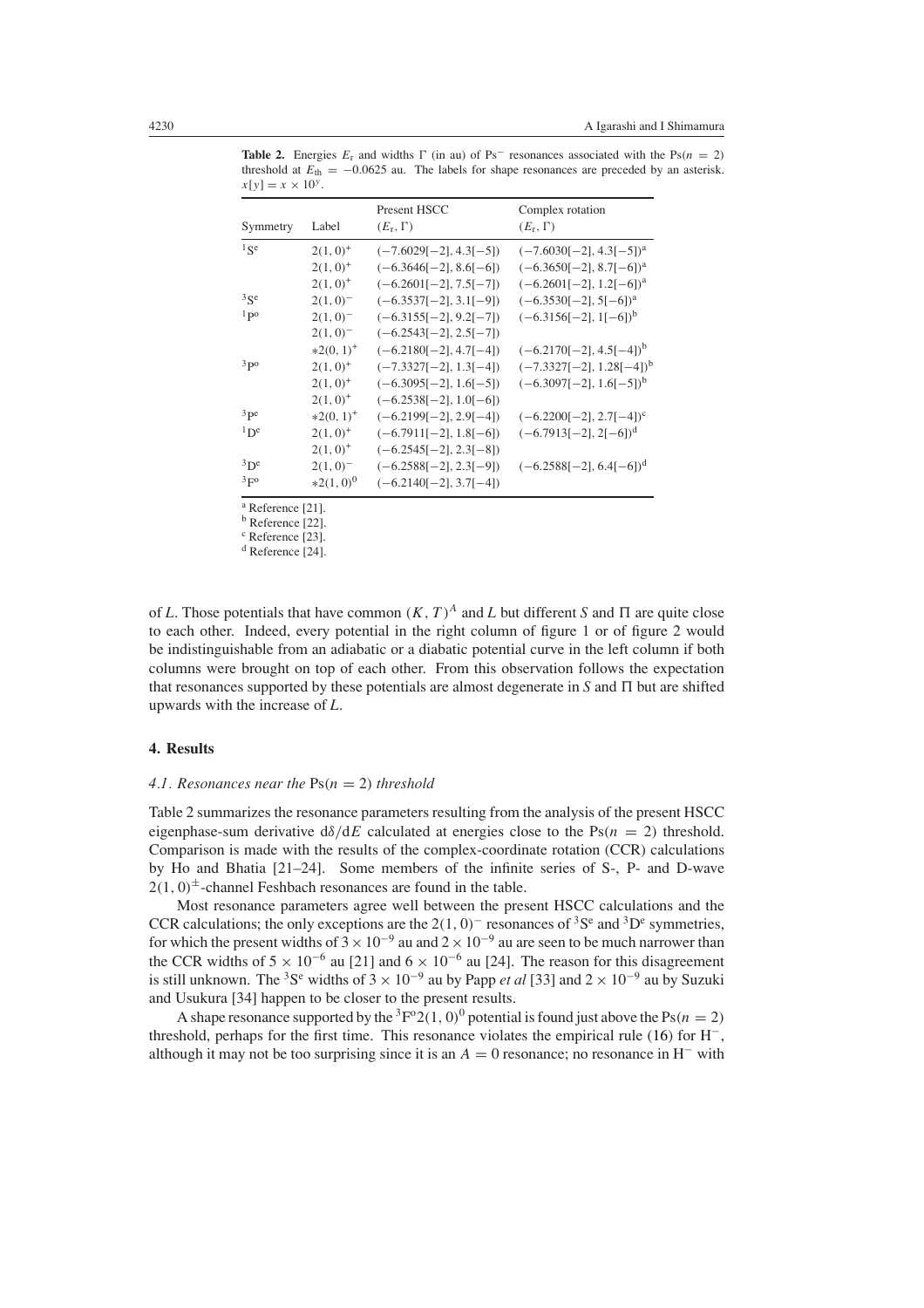| $-1, 1$                            |                                                        |                                                                                                              |                                                                                                          |  |
|------------------------------------|--------------------------------------------------------|--------------------------------------------------------------------------------------------------------------|----------------------------------------------------------------------------------------------------------|--|
| Symmetry                           | Label                                                  | Present HSCC<br>$(E_{r}, \Gamma)$                                                                            | Complex rotation<br>$(E_r, \Gamma)$                                                                      |  |
| $1$ Se                             | $2(1,0)^+$<br>$2(1,0)^+$<br>$2(1,0)^+$                 | $(-7.6029[-2], 4.3[-5])$<br>$(-6.3646[-2], 8.6[-6])$<br>$(-6.2601[-2], 7.5[-7])$                             | $(-7.6030[-2], 4.3[-5])^{\text{a}}$<br>$(-6.3650[-2], 8.7[-6])^a$<br>$(-6.2601[-2], 1.2[-6])^{\text{a}}$ |  |
| $3$ Se<br>1p0                      | $2(1,0)^{-}$<br>$2(1,0)^{-}$<br>$2(1,0)^{-}$           | $(-6.3537[-2], 3.1[-9])$<br>$(-6.3155[-2], 9.2[-7])$<br>$(-6.2543[-2], 2.5[-7])$                             | $(-6.3530[-2], 5[-6])^{\text{a}}$<br>$(-6.3156[-2], 1[-6])^b$                                            |  |
| 3p0                                | $*2(0, 1)^+$<br>$2(1,0)^+$<br>$2(1,0)^+$               | $(-6.2180[-2], 4.7[-4])$<br>$(-7.3327[-2], 1.3[-4])$<br>$(-6.3095[-2], 1.6[-5])$                             | $(-6.2170[-2], 4.5[-4])^b$<br>$(-7.3327[-2], 1.28[-4])^b$<br>$(-6.3097[-2], 1.6[-5])^b$                  |  |
| $3p$ e<br>$1\mathrm{D}^\mathrm{e}$ | $2(1,0)^+$<br>$*2(0, 1)^+$<br>$2(1,0)^+$<br>$2(1,0)^+$ | $(-6.2538[-2], 1.0[-6])$<br>$(-6.2199[-2], 2.9[-4])$<br>$(-6.7911[-2], 1.8[-6])$<br>$(-6.2545[-2], 2.3[-8])$ | $(-6.2200[-2], 2.7[-4])^c$<br>$(-6.7913[-2], 2[-6])^d$                                                   |  |
| 3D <sup>e</sup><br>3F <sub>0</sub> | $2(1,0)^{-}$<br>$*2(1,0)^0$                            | $(-6.2588[-2], 2.3[-9])$<br>$(-6.2140[-2], 3.7[-4])$                                                         | $(-6.2588[-2], 6.4[-6])^d$                                                                               |  |

**Table 2.** Energies  $E_r$  and widths  $\Gamma$  (in au) of Ps<sup>-</sup> resonances associated with the Ps( $n = 2$ ) threshold at  $E_{\text{th}} = -0.0625$  au. The labels for shape resonances are preceded by an asterisk.  $x[y] = x \times 10^{y}$ 

<sup>a</sup> Reference [21].

<sup>b</sup> Reference [22].

<sup>c</sup> Reference [23].

<sup>d</sup> Reference [24].

of *L*. Those potentials that have common  $(K, T)^A$  and *L* but different *S* and  $\Pi$  are quite close to each other. Indeed, every potential in the right column of figure 1 or of figure 2 would be indistinguishable from an adiabatic or a diabatic potential curve in the left column if both columns were brought on top of each other. From this observation follows the expectation that resonances supported by these potentials are almost degenerate in  $S$  and  $\Pi$  but are shifted upwards with the increase of *L*.

### **4. Results**

#### *4.1. Resonances near the*  $Ps(n = 2)$  *threshold*

Table 2 summarizes the resonance parameters resulting from the analysis of the present HSCC eigenphase-sum derivative  $d\delta/dE$  calculated at energies close to the  $Ps(n = 2)$  threshold. Comparison is made with the results of the complex-coordinate rotation (CCR) calculations by Ho and Bhatia [21–24]. Some members of the infinite series of S-, P- and D-wave  $2(1, 0)$ <sup> $\pm$ </sup>-channel Feshbach resonances are found in the table.

Most resonance parameters agree well between the present HSCC calculations and the CCR calculations; the only exceptions are the  $2(1, 0)^-$  resonances of <sup>3</sup>S<sup>e</sup> and <sup>3</sup>D<sup>e</sup> symmetries, for which the present widths of  $3 \times 10^{-9}$  au and  $2 \times 10^{-9}$  au are seen to be much narrower than the CCR widths of  $5 \times 10^{-6}$  au [21] and  $6 \times 10^{-6}$  au [24]. The reason for this disagreement is still unknown. The <sup>3</sup>S<sup>e</sup> widths of  $3 \times 10^{-9}$  au by Papp *et al* [33] and  $2 \times 10^{-9}$  au by Suzuki and Usukura [34] happen to be closer to the present results.

A shape resonance supported by the  ${}^{3}F^{o}2(1, 0)^{0}$  potential is found just above the Ps( $n = 2$ ) threshold, perhaps for the first time. This resonance violates the empirical rule [\(16\)](#page-6-1) for H<sup>−</sup>, although it may not be too surprising since it is an  $A = 0$  resonance; no resonance in H<sup>−</sup> with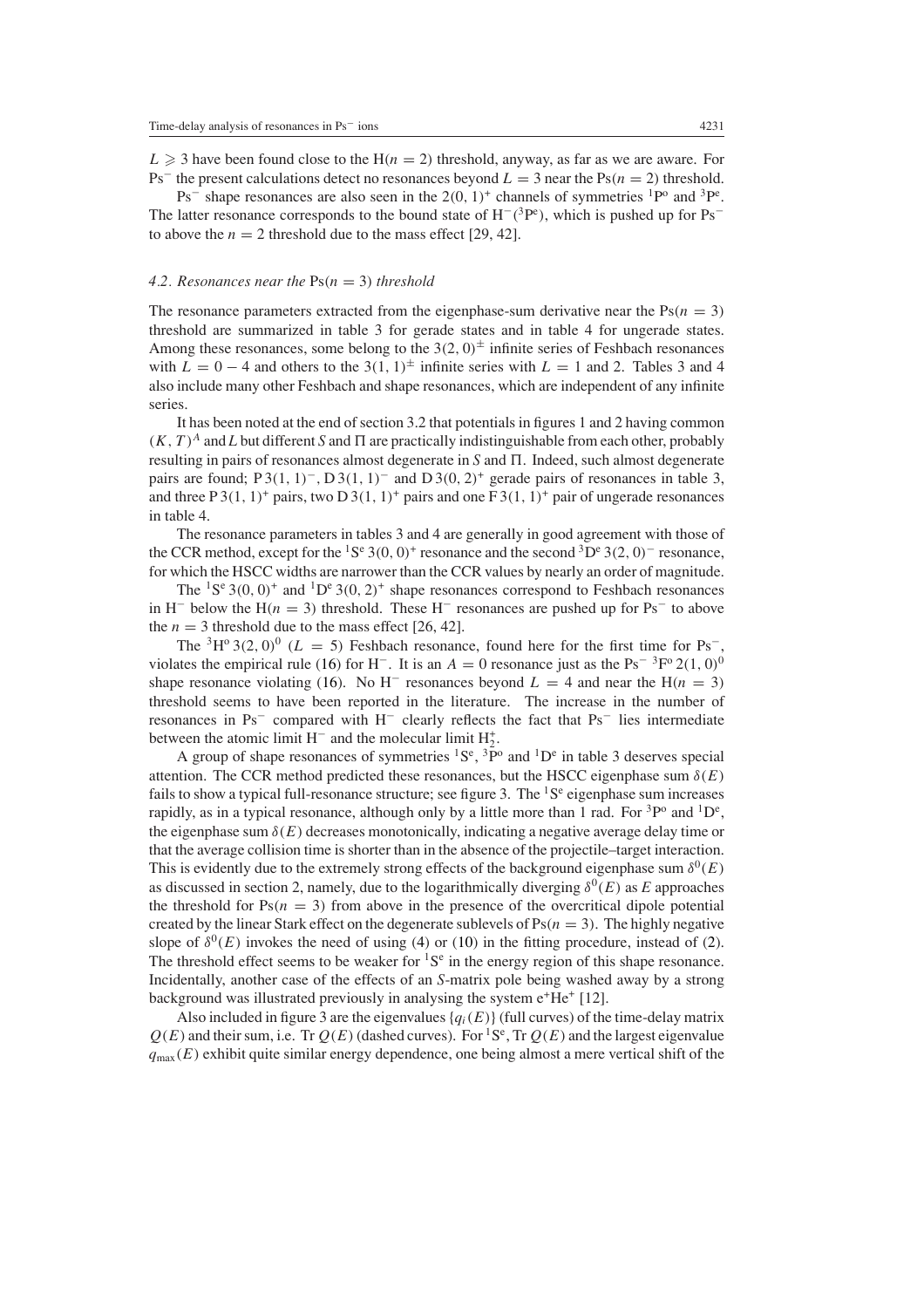$L \geq 3$  have been found close to the  $H(n = 2)$  threshold, anyway, as far as we are aware. For Ps<sup>−</sup> the present calculations detect no resonances beyond  $L = 3$  near the Ps $(n = 2)$  threshold.

 $Ps^{-}$  shape resonances are also seen in the 2 $(0, 1)^{+}$  channels of symmetries <sup>1</sup>P<sup>o</sup> and <sup>3</sup>P<sup>e</sup>. The latter resonance corresponds to the bound state of H<sup>−</sup>*(*3Pe *)*, which is pushed up for Ps<sup>−</sup> to above the  $n = 2$  threshold due to the mass effect [29, 42].

### 4.2. Resonances near the  $Ps(n = 3)$  threshold

The resonance parameters extracted from the eigenphase-sum derivative near the  $Ps(n = 3)$ threshold are summarized in table 3 for gerade states and in table 4 for ungerade states. Among these resonances, some belong to the  $3(2, 0)^{\pm}$  infinite series of Feshbach resonances with  $L = 0 - 4$  and others to the 3(1, 1)<sup>±</sup> infinite series with  $L = 1$  and 2. Tables 3 and 4 also include many other Feshbach and shape resonances, which are independent of any infinite series.

It has been noted at the end of section 3.2 that potentials in figures 1 and 2 having common  $(K, T)^A$  and *L* but different *S* and  $\Pi$  are practically indistinguishable from each other, probably resulting in pairs of resonances almost degenerate in *S* and . Indeed, such almost degenerate pairs are found; P 3*(*1*,* 1*)*<sup>−</sup>*,* D 3*(*1*,* 1*)*<sup>−</sup> and D 3*(*0*,* 2*)*<sup>+</sup> gerade pairs of resonances in table 3, and three P 3(1, 1)<sup>+</sup> pairs, two D 3(1, 1)<sup>+</sup> pairs and one F 3(1, 1)<sup>+</sup> pair of ungerade resonances in table 4.

The resonance parameters in tables 3 and 4 are generally in good agreement with those of the CCR method, except for the <sup>1</sup>S<sup>e</sup> 3(0, 0)<sup>+</sup> resonance and the second <sup>3</sup>D<sup>e</sup> 3(2*,* 0)<sup>−</sup> resonance, for which the HSCC widths are narrower than the CCR values by nearly an order of magnitude.

The <sup>1</sup>S<sup>e</sup> 3(0, 0)<sup>+</sup> and <sup>1</sup>D<sup>e</sup> 3(0, 2)<sup>+</sup> shape resonances correspond to Feshbach resonances in H<sup>−</sup> below the H( $n = 3$ ) threshold. These H<sup>−</sup> resonances are pushed up for Ps<sup>−</sup> to above the  $n = 3$  threshold due to the mass effect [26, 42].

The <sup>3</sup>H<sup>o</sup> 3(2*,* 0)<sup>0</sup> ( $L = 5$ ) Feshbach resonance, found here for the first time for Ps<sup>−</sup> violates the empirical rule [\(16\)](#page-6-1) for H<sup>-</sup>. It is an  $A = 0$  resonance just as the Ps<sup>-3</sup>F<sup>o</sup> 2(1*,* 0)<sup>0</sup> shape resonance violating [\(16\)](#page-6-1). No H<sup>−</sup> resonances beyond  $L = 4$  and near the H(n = 3) threshold seems to have been reported in the literature. The increase in the number of resonances in Ps<sup>−</sup> compared with H<sup>−</sup> clearly reflects the fact that Ps<sup>−</sup> lies intermediate between the atomic limit  $H^-$  and the molecular limit  $H_2^+$ .

A group of shape resonances of symmetries  ${}^{1}S^{e}$ ,  ${}^{3}P^{o}$  and  ${}^{1}D^{e}$  in table 3 deserves special attention. The CCR method predicted these resonances, but the HSCC eigenphase sum  $\delta(E)$ fails to show a typical full-resonance structure; see figure 3. The  ${}^{1}S^{e}$  eigenphase sum increases rapidly, as in a typical resonance, although only by a little more than 1 rad. For  ${}^{3}P^{o}$  and  ${}^{1}D^{e}$ , the eigenphase sum  $\delta(E)$  decreases monotonically, indicating a negative average delay time or that the average collision time is shorter than in the absence of the projectile–target interaction. This is evidently due to the extremely strong effects of the background eigenphase sum  $\delta^{0}(E)$ as discussed in section 2, namely, due to the logarithmically diverging  $\delta^{0}(E)$  as *E* approaches the threshold for  $Ps(n = 3)$  from above in the presence of the overcritical dipole potential created by the linear Stark effect on the degenerate sublevels of  $Ps(n = 3)$ . The highly negative slope of  $\delta^{0}(E)$  invokes the need of using [\(4\)](#page-3-0) or [\(10\)](#page-4-1) in the fitting procedure, instead of [\(2\)](#page-2-2). The threshold effect seems to be weaker for  ${}^{1}S^{e}$  in the energy region of this shape resonance. Incidentally, another case of the effects of an *S*-matrix pole being washed away by a strong background was illustrated previously in analysing the system  $e^+He^+$  [12].

Also included in figure 3 are the eigenvalues  ${q_i(E)}$  (full curves) of the time-delay matrix  $Q(E)$  and their sum, i.e. Tr  $Q(E)$  (dashed curves). For <sup>1</sup>S<sup>e</sup>, Tr  $Q(E)$  and the largest eigenvalue  $q_{\text{max}}(E)$  exhibit quite similar energy dependence, one being almost a mere vertical shift of the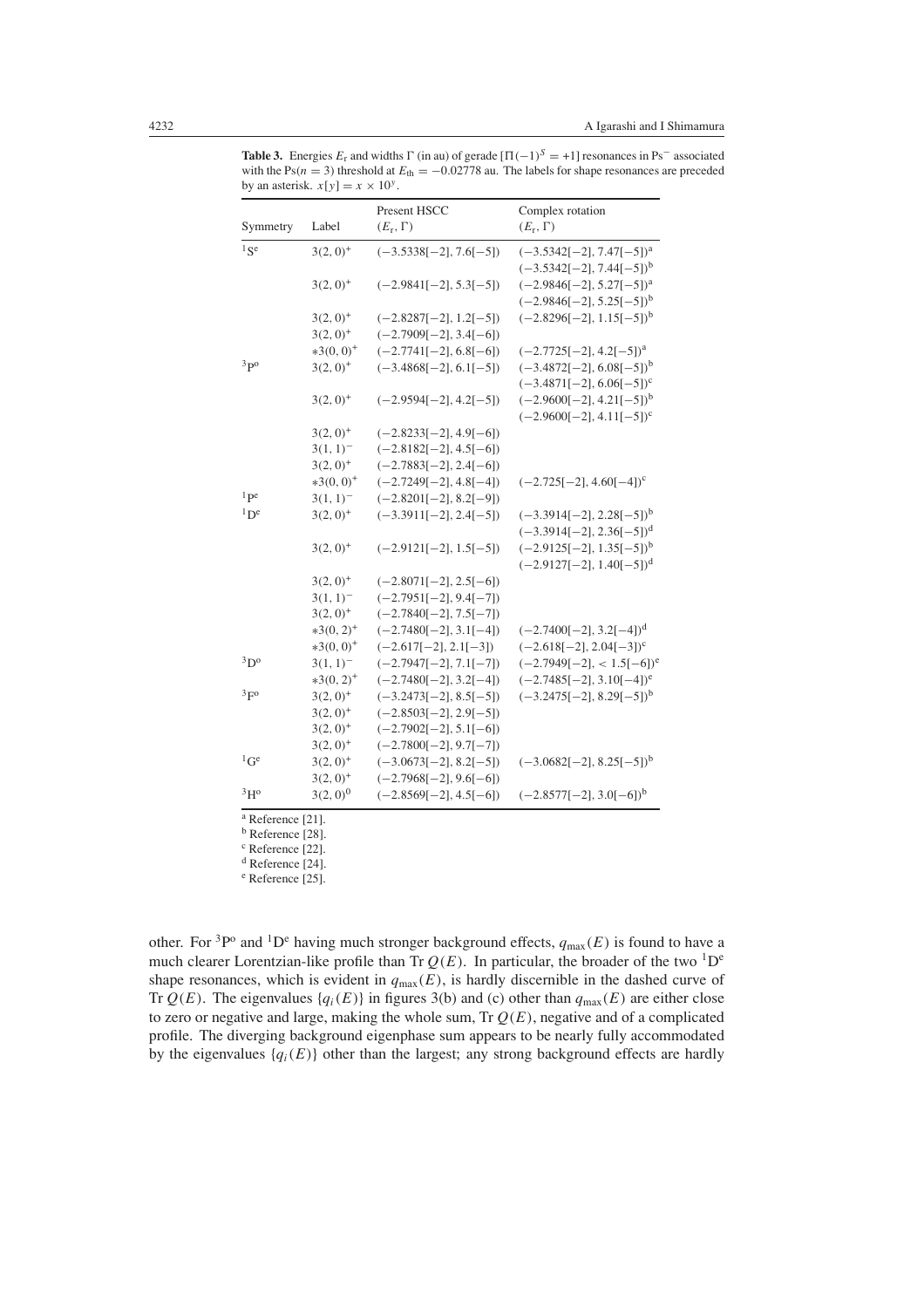**Table 3.** Energies  $E_r$  and widths  $\Gamma$  (in au) of gerade  $[\Pi(-1)^S = +1]$  resonances in Ps<sup>−</sup> associated with the Ps( $n = 3$ ) threshold at  $E_{\text{th}} = -0.02778$  au. The labels for shape resonances are preceded by an asterisk.  $x[y] = x \times 10^y$ .

|                          |               | Present HSCC             | Complex rotation                       |
|--------------------------|---------------|--------------------------|----------------------------------------|
| Symmetry                 | Label         | $(E_{r}, \Gamma)$        | $(E_r, \Gamma)$                        |
| $1$ $\leq$ e             | $3(2, 0)^+$   | $(-3.5338[-2], 7.6[-5])$ | $(-3.5342[-2], 7.47[-5])^a$            |
|                          |               |                          | $(-3.5342[-2], 7.44[-5])^b$            |
|                          | $3(2, 0)^+$   | $(-2.9841[-2], 5.3[-5])$ | $(-2.9846[-2], 5.27[-5])^a$            |
|                          |               |                          | $(-2.9846[-2], 5.25[-5])^b$            |
|                          | $3(2, 0)^+$   | $(-2.8287[-2], 1.2[-5])$ | $(-2.8296[-2], 1.15[-5])^b$            |
|                          | $3(2, 0)^+$   | $(-2.7909[-2], 3.4[-6])$ |                                        |
|                          | $*3(0,0)^+$   | $(-2.7741[-2], 6.8[-6])$ | $(-2.7725[-2], 4.2[-5])^{\text{a}}$    |
| 3p0                      | $3(2, 0)^+$   | $(-3.4868[-2], 6.1[-5])$ | $(-3.4872[-2], 6.08[-5])^b$            |
|                          |               |                          | $(-3.4871[-2], 6.06[-5])^c$            |
|                          | $3(2, 0)^+$   | $(-2.9594[-2], 4.2[-5])$ | $(-2.9600[-2], 4.21[-5])^b$            |
|                          |               |                          | $(-2.9600[-2], 4.11[-5])^c$            |
|                          | $3(2, 0)^+$   | $(-2.8233[-2], 4.9[-6])$ |                                        |
|                          | $3(1, 1)^{-}$ | $(-2.8182[-2], 4.5[-6])$ |                                        |
|                          | $3(2, 0)^+$   | $(-2.7883[-2], 2.4[-6])$ |                                        |
|                          | $*3(0,0)^+$   | $(-2.7249[-2], 4.8[-4])$ | $(-2.725[-2], 4.60[-4])^c$             |
| $1$ pe                   | $3(1, 1)^{-}$ | $(-2.8201[-2], 8.2[-9])$ |                                        |
| $1\mathrm{D}^\mathrm{e}$ | $3(2, 0)^+$   | $(-3.3911[-2], 2.4[-5])$ | $(-3.3914[-2], 2.28[-5])^b$            |
|                          |               |                          | $(-3.3914[-2], 2.36[-5])^d$            |
|                          | $3(2, 0)^+$   | $(-2.9121[-2], 1.5[-5])$ | $(-2.9125[-2], 1.35[-5])^b$            |
|                          |               |                          | $(-2.9127[-2], 1.40[-5])$ <sup>d</sup> |
|                          | $3(2, 0)^+$   | $(-2.8071[-2], 2.5[-6])$ |                                        |
|                          | $3(1, 1)^{-}$ | $(-2.7951[-2], 9.4[-7])$ |                                        |
|                          | $3(2, 0)^+$   | $(-2.7840[-2], 7.5[-7])$ |                                        |
|                          | $*3(0, 2)^+$  | $(-2.7480[-2], 3.1[-4])$ | $(-2.7400[-2], 3.2[-4])^d$             |
|                          | $*3(0,0)^+$   | $(-2.617[-2], 2.1[-3])$  | $(-2.618[-2], 2.04[-3])^c$             |
| $3D^{\circ}$             | $3(1, 1)^{-}$ | $(-2.7947[-2], 7.1[-7])$ | $(-2.7949[-2], < 1.5[-6])^e$           |
|                          | $*3(0, 2)^+$  | $(-2.7480[-2], 3.2[-4])$ | $(-2.7485[-2], 3.10[-4])^e$            |
| 3F <sup>o</sup>          | $3(2, 0)^+$   | $(-3.2473[-2], 8.5[-5])$ | $(-3.2475[-2], 8.29[-5])^b$            |
|                          | $3(2, 0)^+$   | $(-2.8503[-2], 2.9[-5])$ |                                        |
|                          | $3(2, 0)^+$   | $(-2.7902[-2], 5.1[-6])$ |                                        |
|                          | $3(2, 0)^+$   | $(-2.7800[-2], 9.7[-7])$ |                                        |
| ${}^{1}$ Ge              | $3(2, 0)^+$   | $(-3.0673[-2], 8.2[-5])$ | $(-3.0682[-2], 8.25[-5])^b$            |
|                          | $3(2, 0)^+$   | $(-2.7968[-2], 9.6[-6])$ |                                        |
| 3H <sup>o</sup>          | $3(2, 0)^0$   | $(-2.8569[-2], 4.5[-6])$ | $(-2.8577[-2], 3.0[-6])^b$             |

<sup>a</sup> Reference [21].

<sup>b</sup> Reference [28].

<sup>c</sup> Reference [22].

<sup>d</sup> Reference [24].

<sup>e</sup> Reference [25].

other. For <sup>3</sup>P<sup>o</sup> and <sup>1</sup>D<sup>e</sup> having much stronger background effects,  $q_{\text{max}}(E)$  is found to have a much clearer Lorentzian-like profile than Tr  $Q(E)$ . In particular, the broader of the two <sup>1</sup>D<sup>e</sup> shape resonances, which is evident in  $q_{\text{max}}(E)$ , is hardly discernible in the dashed curve of Tr  $Q(E)$ . The eigenvalues  $\{q_i(E)\}\$ in figures 3(b) and (c) other than  $q_{\text{max}}(E)$  are either close to zero or negative and large, making the whole sum, Tr *Q(E)*, negative and of a complicated profile. The diverging background eigenphase sum appears to be nearly fully accommodated by the eigenvalues  ${q_i(E)}$  other than the largest; any strong background effects are hardly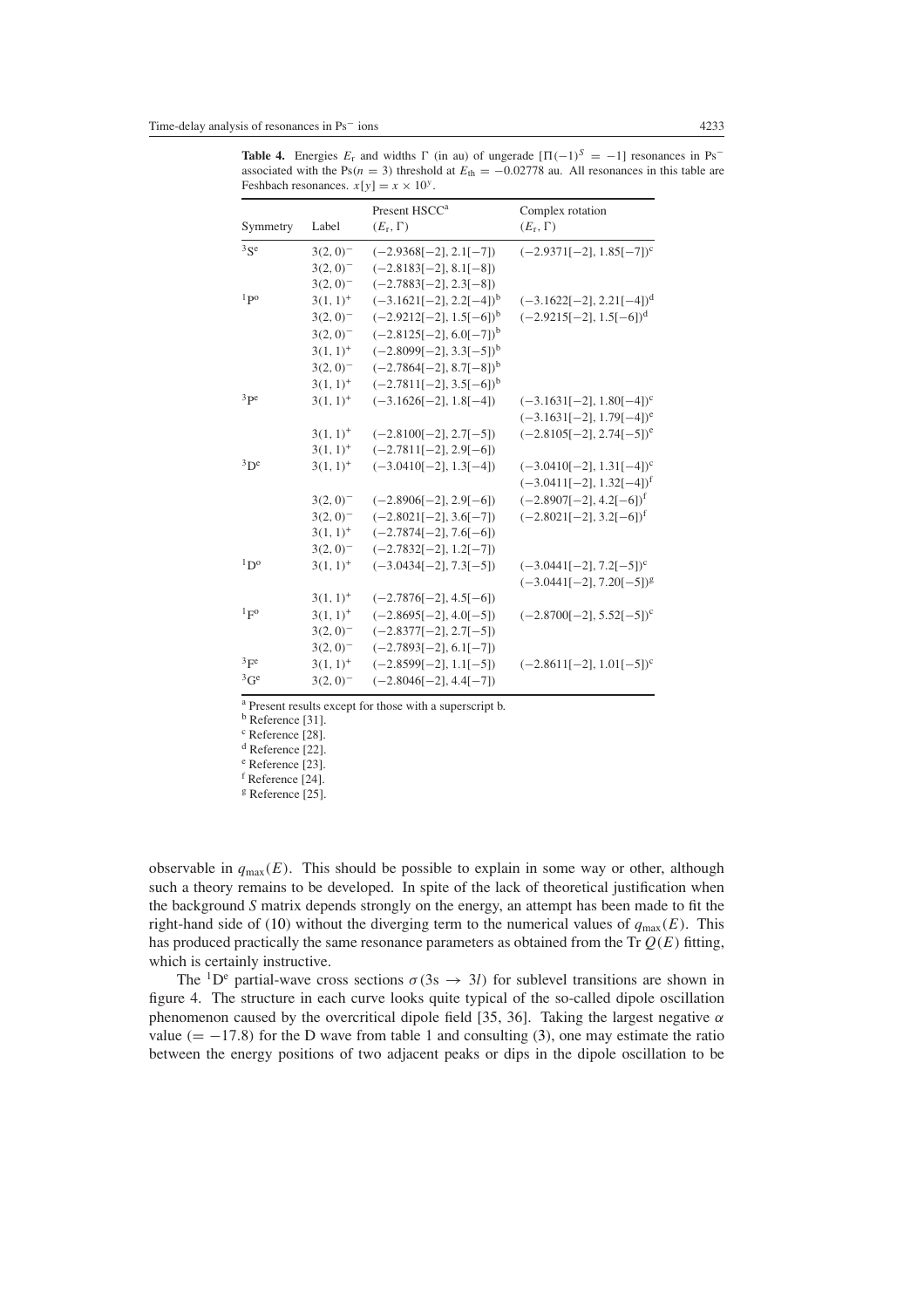**Table 4.** Energies  $E_r$  and widths  $\Gamma$  (in au) of ungerade  $[\Pi(-1)^S = -1]$  resonances in Ps<sup>-</sup> associated with the Ps( $n = 3$ ) threshold at  $E_{th} = -0.02778$  au. All resonances in this table are Feshbach resonances.  $x[y] = x \times 10^y$ .

|                            |                        | Present HSCC <sup>a</sup>  | Complex rotation                       |
|----------------------------|------------------------|----------------------------|----------------------------------------|
| Symmetry                   | Label                  | $(E_r, \Gamma)$            | $(E_r, \Gamma)$                        |
| $3$ Se                     | $3(2, 0)$ <sup>-</sup> | $(-2.9368[-2], 2.1[-7])$   | $(-2.9371[-2], 1.85[-7])^c$            |
|                            | $3(2, 0)$ <sup>-</sup> | $(-2.8183[-2], 8.1[-8])$   |                                        |
|                            | $3(2,0)^{-}$           | $(-2.7883[-2], 2.3[-8])$   |                                        |
| 1p0                        | $3(1, 1)^+$            | $(-3.1621[-2], 2.2[-4])^b$ | $(-3.1622[-2], 2.21[-4])^d$            |
|                            | $3(2,0)$ <sup>-</sup>  | $(-2.9212[-2], 1.5[-6])^b$ | $(-2.9215[-2], 1.5[-6])^d$             |
|                            | $3(2, 0)^{-}$          | $(-2.8125[-2], 6.0[-7])^b$ |                                        |
|                            | $3(1, 1)^+$            | $(-2.8099[-2], 3.3[-5])^b$ |                                        |
|                            | $3(2, 0)^{-}$          | $(-2.7864[-2], 8.7[-8])^b$ |                                        |
|                            | $3(1, 1)^+$            | $(-2.7811[-2], 3.5[-6])^b$ |                                        |
| $3p$ e                     | $3(1, 1)^+$            | $(-3.1626[-2], 1.8[-4])$   | $(-3.1631[-2], 1.80[-4])^c$            |
|                            |                        |                            | $(-3.1631[-2], 1.79[-4])^e$            |
|                            | $3(1, 1)^+$            | $(-2.8100[-2], 2.7[-5])$   | $(-2.8105[-2], 2.74[-5])^e$            |
|                            | $3(1, 1)^+$            | $(-2.7811[-2], 2.9[-6])$   |                                        |
| $3p$ e                     | $3(1, 1)^+$            | $(-3.0410[-2], 1.3[-4])$   | $(-3.0410[-2], 1.31[-4])^c$            |
|                            |                        |                            | $(-3.0411[-2], 1.32[-4])$ <sup>f</sup> |
|                            | $3(2, 0)^{-}$          | $(-2.8906[-2], 2.9[-6])$   | $(-2.8907[-2], 4.2[-6])$ <sup>f</sup>  |
|                            | $3(2, 0)$ <sup>-</sup> | $(-2.8021[-2], 3.6[-7])$   | $(-2.8021[-2], 3.2[-6])^f$             |
|                            | $3(1, 1)^+$            | $(-2.7874[-2], 7.6[-6])$   |                                        |
|                            | $3(2, 0)^{-}$          | $(-2.7832[-2], 1.2[-7])$   |                                        |
| $1\mathrm{D}^{\mathrm{o}}$ | $3(1, 1)^+$            | $(-3.0434[-2], 7.3[-5])$   | $(-3.0441[-2], 7.2[-5])^c$             |
|                            |                        |                            | $(-3.0441[-2], 7.20[-5])^g$            |
|                            | $3(1, 1)^+$            | $(-2.7876[-2], 4.5[-6])$   |                                        |
| 1 <sub>F</sub>             | $3(1, 1)^+$            | $(-2.8695[-2], 4.0[-5])$   | $(-2.8700[-2], 5.52[-5])^c$            |
|                            | $3(2, 0)^{-}$          | $(-2.8377[-2], 2.7[-5])$   |                                        |
|                            | $3(2,0)^{-}$           | $(-2.7893[-2], 6.1[-7])$   |                                        |
| ${}^{3}F^{e}$              | $3(1, 1)^+$            | $(-2.8599[-2], 1.1[-5])$   | $(-2.8611[-2], 1.01[-5])^c$            |
| ${}^{3}$ Ge                | $3(2, 0)^{-}$          | $(-2.8046[-2], 4.4[-7])$   |                                        |

<sup>a</sup> Present results except for those with a superscript b.

<sup>b</sup> Reference [31].

c Reference [28].

<sup>e</sup> Reference [23].

<sup>f</sup> Reference [24].

<sup>g</sup> Reference [25].

observable in  $q_{\text{max}}(E)$ . This should be possible to explain in some way or other, although such a theory remains to be developed. In spite of the lack of theoretical justification when the background *S* matrix depends strongly on the energy, an attempt has been made to fit the right-hand side of [\(10\)](#page-4-1) without the diverging term to the numerical values of  $q_{\text{max}}(E)$ . This has produced practically the same resonance parameters as obtained from the Tr *Q(E)* fitting, which is certainly instructive.

The <sup>1</sup>D<sup>e</sup> partial-wave cross sections  $\sigma(3s \rightarrow 3l)$  for sublevel transitions are shown in figure 4. The structure in each curve looks quite typical of the so-called dipole oscillation phenomenon caused by the overcritical dipole field [35, 36]. Taking the largest negative *α* value  $(= -17.8)$  for the D wave from table 1 and consulting [\(3\)](#page-2-1), one may estimate the ratio between the energy positions of two adjacent peaks or dips in the dipole oscillation to be

<sup>d</sup> Reference [22].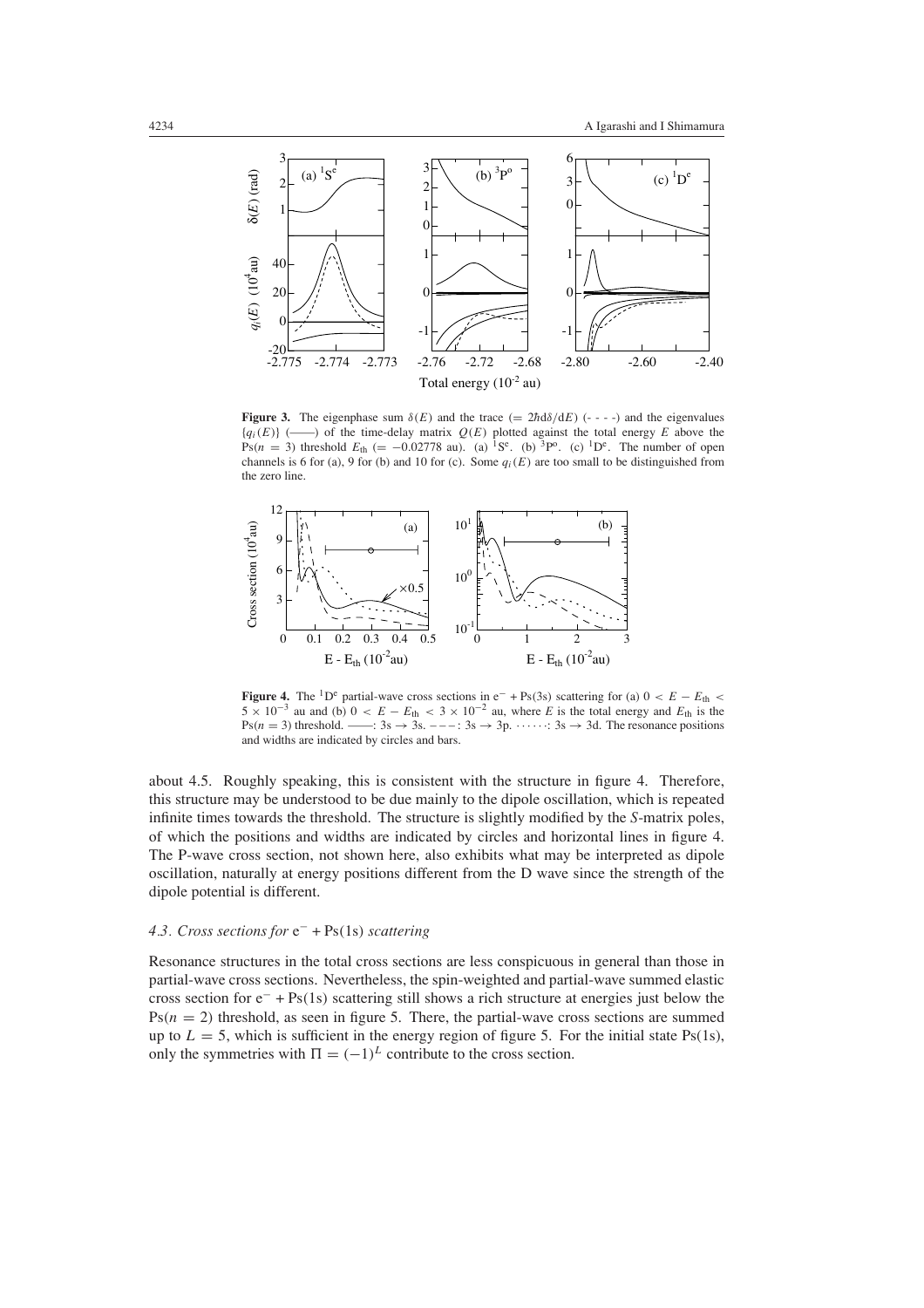

**Figure 3.** The eigenphase sum  $\delta(E)$  and the trace  $(= 2\hbar d\delta/dE)$  (----) and the eigenvalues  ${q_i(E)}$  ( $\longrightarrow$ ) of the time-delay matrix  $Q(E)$  plotted against the total energy *E* above the Ps( $n = 3$ ) threshold  $E_{th} = -0.02778$  au). (a) <sup>1</sup>S<sup>e</sup>. (b) <sup>3</sup>P<sup>o</sup>. (c) <sup>1</sup>D<sup>e</sup>. The number of open channels is 6 for (a), 9 for (b) and 10 for (c). Some  $q_i(E)$  are too small to be distinguished from the zero line.



**Figure 4.** The <sup>1</sup>D<sup>e</sup> partial-wave cross sections in e<sup>−</sup> + Ps(3s) scattering for (a)  $0 < E - E$ <sub>th</sub>  $5 \times 10^{-3}$  au and (b)  $0 < E - E_{th} < 3 \times 10^{-2}$  au, where *E* is the total energy and  $E_{th}$  is the Ps( $n = 3$ ) threshold. ——:  $3s \rightarrow 3s$ . – – –:  $3s \rightarrow 3p$ .  $\cdots$  :  $3s \rightarrow 3d$ . The resonance positions and widths are indicated by circles and bars.

about 4.5. Roughly speaking, this is consistent with the structure in figure 4. Therefore, this structure may be understood to be due mainly to the dipole oscillation, which is repeated infinite times towards the threshold. The structure is slightly modified by the *S*-matrix poles, of which the positions and widths are indicated by circles and horizontal lines in figure 4. The P-wave cross section, not shown here, also exhibits what may be interpreted as dipole oscillation, naturally at energy positions different from the D wave since the strength of the dipole potential is different.

# *4.3. Cross sections for* e<sup>−</sup> + Ps*(*1s*) scattering*

Resonance structures in the total cross sections are less conspicuous in general than those in partial-wave cross sections. Nevertheless, the spin-weighted and partial-wave summed elastic cross section for e<sup>−</sup> + Ps*(*1s*)* scattering still shows a rich structure at energies just below the  $Ps(n = 2)$  threshold, as seen in figure 5. There, the partial-wave cross sections are summed up to  $L = 5$ , which is sufficient in the energy region of figure 5. For the initial state Ps(1s), only the symmetries with  $\Pi = (-1)^L$  contribute to the cross section.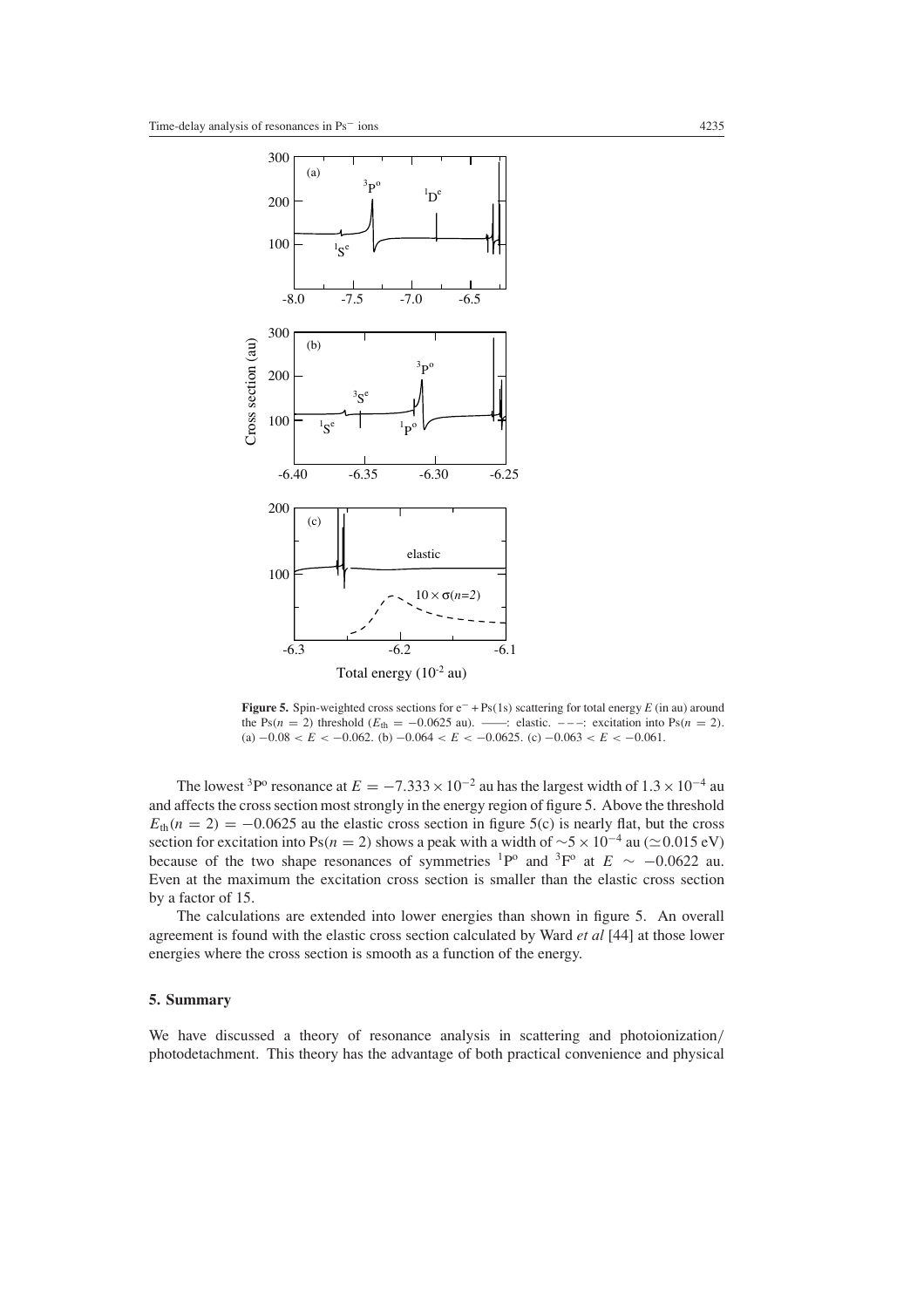

**Figure 5.** Spin-weighted cross sections for e<sup>−</sup> + Ps*(*1s*)* scattering for total energy *E* (in au) around the Ps( $n = 2$ ) threshold ( $E_{th} = -0.0625$  au). ——: elastic.  $---$ : excitation into Ps( $n = 2$ ). (a)  $-0.08 < E < -0.062$ . (b)  $-0.064 < E < -0.0625$ . (c)  $-0.063 < E < -0.061$ .

The lowest <sup>3</sup>P<sup>o</sup> resonance at  $E = -7.333 \times 10^{-2}$  au has the largest width of  $1.3 \times 10^{-4}$  au and affects the cross section most strongly in the energy region of figure 5. Above the threshold  $E_{th}(n = 2) = -0.0625$  au the elastic cross section in figure 5(c) is nearly flat, but the cross section for excitation into Ps(*n* = 2) shows a peak with a width of  $\sim$ 5 × 10<sup>-4</sup> au ( $\approx$  0.015 eV) because of the two shape resonances of symmetries <sup>1</sup>P<sup>o</sup> and <sup>3</sup>F<sup>o</sup> at  $E \sim -0.0622$  au. Even at the maximum the excitation cross section is smaller than the elastic cross section by a factor of 15.

The calculations are extended into lower energies than shown in figure 5. An overall agreement is found with the elastic cross section calculated by Ward *et al* [44] at those lower energies where the cross section is smooth as a function of the energy.

# **5. Summary**

We have discussed a theory of resonance analysis in scattering and photoionization*/* photodetachment. This theory has the advantage of both practical convenience and physical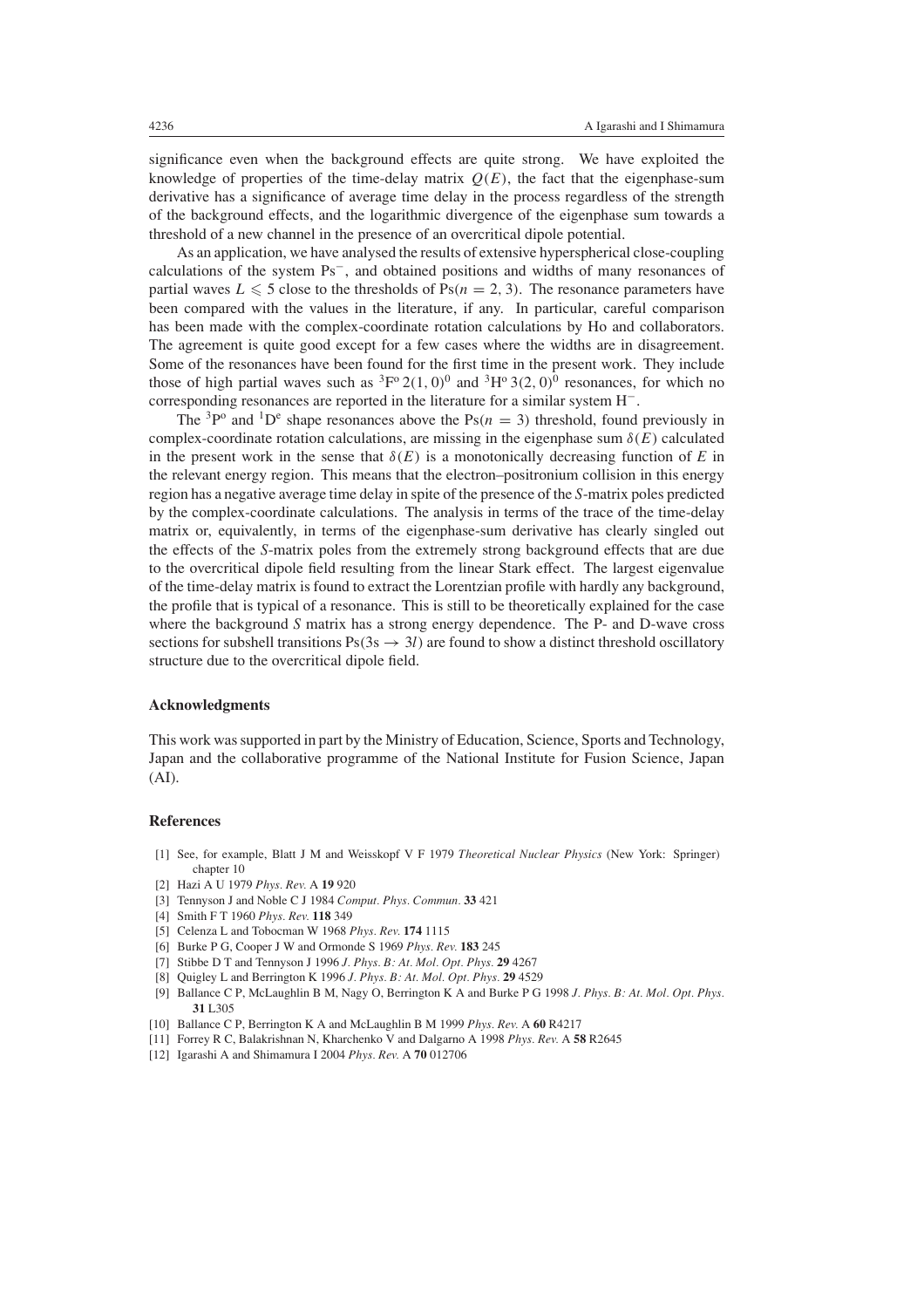significance even when the background effects are quite strong. We have exploited the knowledge of properties of the time-delay matrix  $Q(E)$ , the fact that the eigenphase-sum derivative has a significance of average time delay in the process regardless of the strength of the background effects, and the logarithmic divergence of the eigenphase sum towards a threshold of a new channel in the presence of an overcritical dipole potential.

As an application, we have analysed the results of extensive hyperspherical close-coupling calculations of the system Ps<sup>−</sup>, and obtained positions and widths of many resonances of partial waves  $L \leq 5$  close to the thresholds of  $Ps(n = 2, 3)$ . The resonance parameters have been compared with the values in the literature, if any. In particular, careful comparison has been made with the complex-coordinate rotation calculations by Ho and collaborators. The agreement is quite good except for a few cases where the widths are in disagreement. Some of the resonances have been found for the first time in the present work. They include those of high partial waves such as  ${}^{3}F^{o} 2(1, 0)^{0}$  and  ${}^{3}H^{o} 3(2, 0)^{0}$  resonances, for which no corresponding resonances are reported in the literature for a similar system H<sup>−</sup>.

The <sup>3</sup>P<sup>o</sup> and <sup>1</sup>D<sup>e</sup> shape resonances above the Ps( $n = 3$ ) threshold, found previously in complex-coordinate rotation calculations, are missing in the eigenphase sum  $\delta(E)$  calculated in the present work in the sense that  $\delta(E)$  is a monotonically decreasing function of *E* in the relevant energy region. This means that the electron–positronium collision in this energy region has a negative average time delay in spite of the presence of the *S*-matrix poles predicted by the complex-coordinate calculations. The analysis in terms of the trace of the time-delay matrix or, equivalently, in terms of the eigenphase-sum derivative has clearly singled out the effects of the *S*-matrix poles from the extremely strong background effects that are due to the overcritical dipole field resulting from the linear Stark effect. The largest eigenvalue of the time-delay matrix is found to extract the Lorentzian profile with hardly any background, the profile that is typical of a resonance. This is still to be theoretically explained for the case where the background *S* matrix has a strong energy dependence. The P- and D-wave cross sections for subshell transitions  $Ps(3s \rightarrow 3l)$  are found to show a distinct threshold oscillatory structure due to the overcritical dipole field.

## **Acknowledgments**

This work was supported in part by the Ministry of Education, Science, Sports and Technology, Japan and the collaborative programme of the National Institute for Fusion Science, Japan (AI).

## **References**

- [1] See, for example, Blatt J M and Weisskopf V F 1979 *Theoretical Nuclear Physics* (New York: Springer) chapter 10
- [2] Hazi A U 1979 *Phys. Rev.* A **19** 920
- [3] Tennyson J and Noble C J 1984 *Comput. Phys. Commun.* **33** 421
- [4] Smith F T 1960 *Phys. Rev.* **118** 349
- [5] Celenza L and Tobocman W 1968 *Phys. Rev.* **174** 1115
- [6] Burke P G, Cooper J W and Ormonde S 1969 *Phys. Rev.* **183** 245
- [7] Stibbe D T and Tennyson J 1996 *J. Phys. B: At. Mol. Opt. Phys.* **29** 4267
- [8] Quigley L and Berrington K 1996 *J. Phys. B: At. Mol. Opt. Phys.* **29** 4529
- [9] Ballance C P, McLaughlin B M, Nagy O, Berrington K A and Burke P G 1998 *J. Phys. B: At. Mol. Opt. Phys.* **31** L305
- [10] Ballance C P, Berrington K A and McLaughlin B M 1999 *Phys. Rev.* A **60** R4217
- [11] Forrey R C, Balakrishnan N, Kharchenko V and Dalgarno A 1998 *Phys. Rev.* A **58** R2645
- [12] Igarashi A and Shimamura I 2004 *Phys. Rev.* A **70** 012706